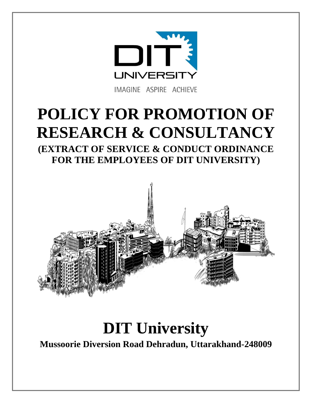

IMAGINE ASPIRE ACHIEVE

# **POLICY FOR PROMOTION OF RESEARCH & CONSULTANCY**

**(EXTRACT OF SERVICE & CONDUCT ORDINANCE FOR THE EMPLOYEES OF DIT UNIVERSITY)**



# **DIT University**

**Mussoorie Diversion Road Dehradun, Uttarakhand-248009**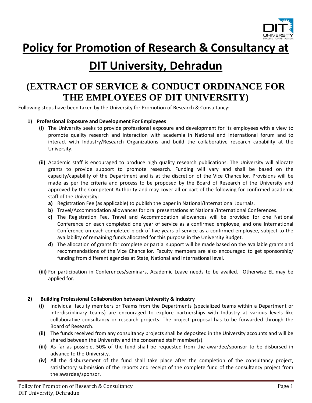

**Policy for Promotion of Research & Consultancy at** 

# **DIT University, Dehradun**

# **(EXTRACT OF SERVICE & CONDUCT ORDINANCE FOR THE EMPLOYEES OF DIT UNIVERSITY)**

Following steps have been taken by the University for Promotion of Research & Consultancy:

# **1) Professional Exposure and Development For Employees**

- **(i)** The University seeks to provide professional exposure and development for its employees with a view to promote quality research and interaction with academia in National and International forum and to interact with Industry/Research Organizations and build the collaborative research capability at the University.
- **(ii)** Academic staff is encouraged to produce high quality research publications. The University will allocate grants to provide support to promote research. Funding will vary and shall be based on the capacity/capability of the Department and is at the discretion of the Vice Chancellor. Provisions will be made as per the criteria and process to be proposed by the Board of Research of the University and approved by the Competent Authority and may cover all or part of the following for confirmed academic staff of the University:
	- **a)** Registration Fee (as applicable) to publish the paper in National/International Journals.
	- **b)** Travel/Accommodation allowances for oral presentations at National/International Conferences.
	- **c)** The Registration Fee, Travel and Accommodation allowances will be provided for one National Conference on each completed one year of service as a confirmed employee, and one International Conference on each completed block of five years of service as a confirmed employee, subject to the availability of remaining funds allocated for this purpose in the University Budget.
	- **d)** The allocation of grants for complete or partial support will be made based on the available grants and recommendations of the Vice Chancellor. Faculty members are also encouraged to get sponsorship/ funding from different agencies at State, National and International level.
- **(iii)** For participation in Conferences/seminars, Academic Leave needs to be availed. Otherwise EL may be applied for.

# **2) Building Professional Collaboration between University & Industry**

- **(i)** Individual faculty members or Teams from the Departments (specialized teams within a Department or interdisciplinary teams) are encouraged to explore partnerships with Industry at various levels like collaborative consultancy or research projects. The project proposal has to be forwarded through the Board of Research.
- **(ii)** The funds received from any consultancy projects shall be deposited in the University accounts and will be shared between the University and the concerned staff member(s).
- **(iii)** As far as possible, 50% of the fund shall be requested from the awardee/sponsor to be disbursed in advance to the University.
- **(iv)** All the disbursement of the fund shall take place after the completion of the consultancy project, satisfactory submission of the reports and receipt of the complete fund of the consultancy project from the awardee/sponsor.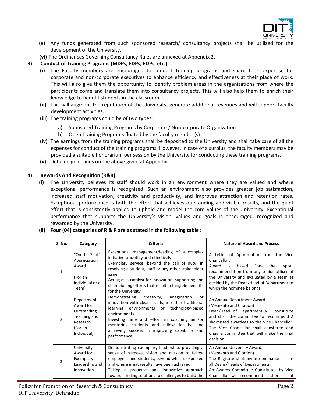

- **(v)** Any funds generated from such sponsored research/ consultancy projects shall be utilized for the development of the University.
- **(vi)** The Ordinances Governing Consultancy Rules are annexed at Appendix 2.
- **3) Conduct of Training Programs (MDPs, FDPs, EDPs, etc.)**
	- **(i)** The Faculty members are encouraged to conduct training programs and share their expertise for corporate and non-corporate executives to enhance efficiency and effectiveness at their place of work. This will also give them the opportunity to identify problem areas in the organizations from where the participants come and translate them into consultancy projects. This will also help them to enrich their knowledge to benefit students in the classroom.
	- **(ii)** This will augment the reputation of the University, generate additional revenues and will support faculty development activities.
	- **(iii)** The training programs could be of two types:
		- a) Sponsored Training Programs by Corporate / Non-corporate Organization
		- b) Open Training Programs floated by the faculty member(s)
	- **(iv)** The earnings from the training programs shall be deposited to the University and shall take care of all the expenses for conduct of the training programs. However, in case of a surplus, the faculty members may be provided a suitable honorarium per session by the University for conducting these training programs.
	- **(v)** Detailed guidelines on the above given at Appendix 1.

# **4) Rewards And Recognition (R&R)**

**(i)** The University believes its staff should work in an environment where they are valued and where exceptional performance is recognized. Such an environment also provides greater job satisfaction, increased staff motivation, creativity and productivity, and improves attraction and retention rates. Exceptional performance is both the effort that achieves outstanding and visible results, and the quiet effort that is consistently applied to uphold and model the core values of the University. Exceptional performance that supports the University's vision, values and goals is encouraged, recognized and rewarded by the University.

| S. No.           | Category                                                                                     | Criteria                                                                                                                                                                                                                                                                                                                                  | <b>Nature of Award and Process</b>                                                                                                                                                                                                                                                               |  |  |  |
|------------------|----------------------------------------------------------------------------------------------|-------------------------------------------------------------------------------------------------------------------------------------------------------------------------------------------------------------------------------------------------------------------------------------------------------------------------------------------|--------------------------------------------------------------------------------------------------------------------------------------------------------------------------------------------------------------------------------------------------------------------------------------------------|--|--|--|
| $\mathbf{1}$ .   | "On-the-Spot"<br>Appreciation<br>Award                                                       | Exceptional management/leading of a complex<br>initiative smoothly and effectively.<br>Exemplary service, beyond the call of duty, in<br>resolving a student, staff or any other stakeholder                                                                                                                                              | A Letter of Appreciation from the Vice<br>Chancellor.<br>"on-<br>Award<br>based<br>the-<br>spot"<br>is<br>recommendation from any senior officer of                                                                                                                                              |  |  |  |
|                  | (For an<br>Individual or a<br>Team)                                                          | issue.<br>Acting as a catalyst for innovation, supporting and<br>championing efforts that result in tangible benefits<br>for the University.                                                                                                                                                                                              | the University and evaluated by a team as<br>decided by the Dean/Head of Department to<br>which the nominee belongs.                                                                                                                                                                             |  |  |  |
| 2.               | Department<br>Award for<br>Outstanding<br>Teaching and<br>Research<br>(For an<br>Individual) | Demonstrating<br>creativity,<br>imagination<br>or<br>innovation with clear results, in either traditional<br>technology-based<br>learning environments or<br>environments.<br>Investing time and effort in coaching and/or<br>mentoring students and fellow faculty, and<br>achieving success in improving capability and<br>performance. | An Annual Department Award<br>(Memento and Citation)<br>Dean/Head of Department will constitute<br>and chair the committee to recommend 2<br>shortlisted awardees to the Vice Chancellor.<br>The Vice Chancellor shall constitute and<br>Chair a committee that will make the final<br>decision. |  |  |  |
| $\overline{3}$ . | University<br>Award for<br>Exemplary<br>Leadership and<br>Innovation                         | Demonstrating exemplary leadership, providing a<br>sense of purpose, vision and mission to fellow<br>employees and students, beyond what is expected<br>and where great results have been achieved.<br>Taking a proactive and innovative approach<br>towards finding solutions to challenges to build the                                 | An Annual University Award.<br>(Memento and Citation)<br>The Registrar shall invite nominations from<br>all Deans/Heads of Departments.<br>An Awards Committee Constituted by Vice<br>Chancellor will recommend a short-list of                                                                  |  |  |  |

# **(ii) Four (04) categories of R & R are as stated in the following table :**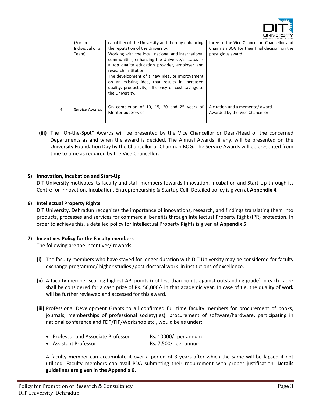

|    |                 |                                                                                                                                                                                                                                                                                                                                                                  | INIMURVE MOFINE MUTHEVE                                             |
|----|-----------------|------------------------------------------------------------------------------------------------------------------------------------------------------------------------------------------------------------------------------------------------------------------------------------------------------------------------------------------------------------------|---------------------------------------------------------------------|
|    | (For an         | capability of the University and thereby enhancing                                                                                                                                                                                                                                                                                                               | three to the Vice Chancellor, Chancellor and                        |
|    | Individual or a | the reputation of the University.                                                                                                                                                                                                                                                                                                                                | Chairman BOG for their final decision on the                        |
|    | Team)           | Working with the local, national and international<br>communities, enhancing the University's status as<br>a top quality education provider, employer and<br>research institution.<br>The development of a new idea, or improvement<br>on an existing idea, that results in increased<br>quality, productivity, efficiency or cost savings to<br>the University. | prestigious award.                                                  |
| 4. | Service Awards  | On completion of 10, 15, 20 and 25 years of<br><b>Meritorious Service</b>                                                                                                                                                                                                                                                                                        | A citation and a memento/ award.<br>Awarded by the Vice Chancellor. |

**(iii)** The "On-the-Spot" Awards will be presented by the Vice Chancellor or Dean/Head of the concerned Departments as and when the award is decided. The Annual Awards, if any, will be presented on the University Foundation Day by the Chancellor or Chairman BOG. The Service Awards will be presented from time to time as required by the Vice Chancellor.

#### **5) Innovation, Incubation and Start-Up**

DIT University motivates its faculty and staff members towards Innovation, Incubation and Start-Up through its Centre for Innovation, Incubation, Entrepreneurship & Startup Cell. Detailed policy is given at **Appendix 4**.

#### **6) Intellectual Property Rights**

DIT University, Dehradun recognizes the importance of innovations, research, and findings translating them into products, processes and services for commercial benefits through Intellectual Property Right (IPR) protection. In order to achieve this, a detailed policy for Intellectual Property Rights is given at **Appendix 5**.

#### **7) Incentives Policy for the Faculty members**

The following are the incentives/ rewards.

- **(i)** The faculty members who have stayed for longer duration with DIT University may be considered for faculty exchange programme/ higher studies /post-doctoral work in institutions of excellence.
- **(ii)** A faculty member scoring highest API points (not less than points against outstanding grade) in each cadre shall be considered for a cash prize of Rs. 50,000/- in that academic year. In case of tie, the quality of work will be further reviewed and accessed for this award.
- **(iii)** Professional Development Grants to all confirmed full time faculty members for procurement of books, journals, memberships of professional society(ies), procurement of software/hardware, participating in national conference and FDP/FIP/Workshop etc., would be as under:
	- Professor and Associate Professor Rs. 10000/- per annum
	- Assistant Professor  **Rs. 7,500/- per annum**

A faculty member can accumulate it over a period of 3 years after which the same will be lapsed if not utilized. Faculty members can avail PDA submitting their requirement with proper justification. **Details guidelines are given in the Appendix 6.**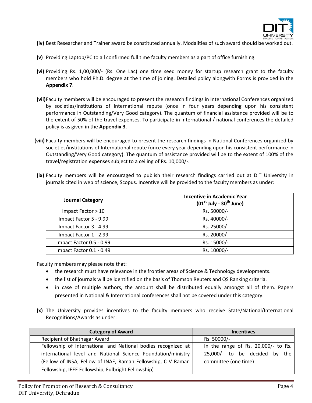

- **(iv)** Best Researcher and Trainer award be constituted annually. Modalities of such award should be worked out.
- **(v)** Providing Laptop/PC to all confirmed full time faculty members as a part of office furnishing.
- **(vi)** Providing Rs. 1,00,000/- (Rs. One Lac) one time seed money for startup research grant to the faculty members who hold Ph.D. degree at the time of joining. Detailed policy alongwith Forms is provided in the **Appendix 7**.
- **(vii)**Faculty members will be encouraged to present the research findings in International Conferences organized by societies/institutions of International repute (once in four years depending upon his consistent performance in Outstanding/Very Good category). The quantum of financial assistance provided will be to the extent of 50% of the travel expenses. To participate in international / national conferences the detailed policy is as given in the **Appendix 3**.
- **(viii)** Faculty members will be encouraged to present the research findings in National Conferences organized by societies/institutions of International repute (once every year depending upon his consistent performance in Outstanding/Very Good category). The quantum of assistance provided will be to the extent of 100% of the travel/registration expenses subject to a ceiling of Rs. 10,000/-.

|  |                                                                                                       |  |  |  |  |  |  | (ix) Faculty members will be encouraged to publish their research findings carried out at DIT University in |  |
|--|-------------------------------------------------------------------------------------------------------|--|--|--|--|--|--|-------------------------------------------------------------------------------------------------------------|--|
|  | journals cited in web of science, Scopus. Incentive will be provided to the faculty members as under: |  |  |  |  |  |  |                                                                                                             |  |
|  |                                                                                                       |  |  |  |  |  |  |                                                                                                             |  |

| <b>Journal Category</b>  | <b>Incentive in Academic Year</b><br>$(01st$ July - $30th$ June) |
|--------------------------|------------------------------------------------------------------|
| Impact Factor > 10       | Rs. 50000/-                                                      |
| Impact Factor 5 - 9.99   | Rs. 40000/-                                                      |
| Impact Factor 3 - 4.99   | Rs. 25000/-                                                      |
| Impact Factor 1 - 2.99   | Rs. 20000/-                                                      |
| Impact Factor 0.5 - 0.99 | Rs. 15000/-                                                      |
| Impact Factor 0.1 - 0.49 | Rs. 10000/-                                                      |

Faculty members may please note that:

- the research must have relevance in the frontier areas of Science & Technology developments.
- the list of journals will be identified on the basis of Thomson Reuters and QS Ranking criteria.
- in case of multiple authors, the amount shall be distributed equally amongst all of them. Papers presented in National & International conferences shall not be covered under this category.
- **(x)** The University provides incentives to the faculty members who receive State/National/International Recognitions/Awards as under:

| <b>Category of Award</b>                                      | <b>Incentives</b>                   |
|---------------------------------------------------------------|-------------------------------------|
| Recipient of Bhatnagar Award                                  | Rs. 50000/-                         |
| Fellowship of International and National bodies recognized at | In the range of Rs. 20,000/- to Rs. |
| international level and National Science Foundation/ministry  | 25,000/- to be decided by the       |
| (Fellow of INSA, Fellow of INAE, Raman Fellowship, C V Raman  | committee (one time)                |
| Fellowship, IEEE Fellowship, Fulbright Fellowship)            |                                     |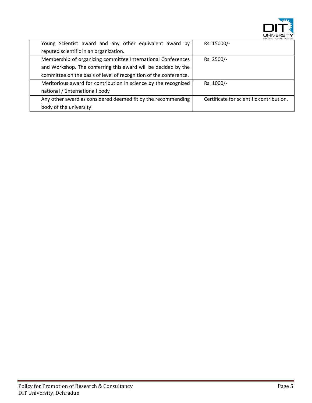

| Young Scientist award and any other equivalent award by           | IMPOINT ASPINE ACHIEVE<br>Rs. 15000/-    |
|-------------------------------------------------------------------|------------------------------------------|
| reputed scientific in an organization.                            |                                          |
| Membership of organizing committee International Conferences      | Rs. 2500/-                               |
| and Workshop. The conferring this award will be decided by the    |                                          |
| committee on the basis of level of recognition of the conference. |                                          |
| Meritorious award for contribution in science by the recognized   | Rs. 1000/-                               |
| national / 1nternationa I body                                    |                                          |
| Any other award as considered deemed fit by the recommending      | Certificate for scientific contribution. |
| body of the university                                            |                                          |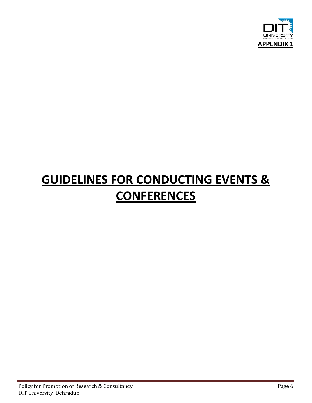

# **GUIDELINES FOR CONDUCTING EVENTS & CONFERENCES**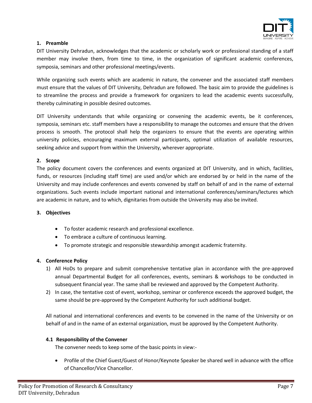

#### **1. Preamble**

DIT University Dehradun, acknowledges that the academic or scholarly work or professional standing of a staff member may involve them, from time to time, in the organization of significant academic conferences, symposia, seminars and other professional meetings/events.

While organizing such events which are academic in nature, the convener and the associated staff members must ensure that the values of DIT University, Dehradun are followed. The basic aim to provide the guidelines is to streamline the process and provide a framework for organizers to lead the academic events successfully, thereby culminating in possible desired outcomes.

DIT University understands that while organizing or convening the academic events, be it conferences, symposia, seminars etc. staff members have a responsibility to manage the outcomes and ensure that the driven process is smooth. The protocol shall help the organizers to ensure that the events are operating within university policies, encouraging maximum external participants, optimal utilization of available resources, seeking advice and support from within the University, wherever appropriate.

#### **2. Scope**

The policy document covers the conferences and events organized at DIT University, and in which, facilities, funds, or resources (including staff time) are used and/or which are endorsed by or held in the name of the University and may include conferences and events convened by staff on behalf of and in the name of external organizations. Such events include important national and international conferences/seminars/lectures which are academic in nature, and to which, dignitaries from outside the University may also be invited.

#### **3. Objectives**

- To foster academic research and professional excellence.
- To embrace a culture of continuous learning.
- To promote strategic and responsible stewardship amongst academic fraternity.

#### **4. Conference Policy**

- 1) All HoDs to prepare and submit comprehensive tentative plan in accordance with the pre-approved annual Departmental Budget for all conferences, events, seminars & workshops to be conducted in subsequent financial year. The same shall be reviewed and approved by the Competent Authority.
- 2) In case, the tentative cost of event, workshop, seminar or conference exceeds the approved budget, the same should be pre-approved by the Competent Authority for such additional budget.

All national and international conferences and events to be convened in the name of the University or on behalf of and in the name of an external organization, must be approved by the Competent Authority.

#### **4.1 Responsibility of the Convener**

The convener needs to keep some of the basic points in view:-

 Profile of the Chief Guest/Guest of Honor/Keynote Speaker be shared well in advance with the office of Chancellor/Vice Chancellor.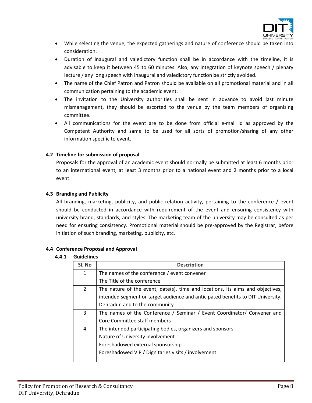

- While selecting the venue, the expected gatherings and nature of conference should be taken into consideration.
- Duration of inaugural and valedictory function shall be in accordance with the timeline, it is advisable to keep it between 45 to 60 minutes. Also, any integration of keynote speech / plenary lecture / any long speech with inaugural and valedictory function be strictly avoided.
- The name of the Chief Patron and Patron should be available on all promotional material and in all communication pertaining to the academic event.
- The invitation to the University authorities shall be sent in advance to avoid last minute mismanagement, they should be escorted to the venue by the team members of organizing committee.
- All communications for the event are to be done from official e-mail id as approved by the Competent Authority and same to be used for all sorts of promotion/sharing of any other information specific to event.

# **4.2 Timeline for submission of proposal**

Proposals for the approval of an academic event should normally be submitted at least 6 months prior to an international event, at least 3 months prior to a national event and 2 months prior to a local event.

# **4.3 Branding and Publicity**

All branding, marketing, publicity, and public relation activity, pertaining to the conference / event should be conducted in accordance with requirement of the event and ensuring consistency with university brand, standards, and styles. The marketing team of the university may be consulted as per need for ensuring consistency. Promotional material should be pre-approved by the Registrar, before initiation of such branding, marketing, publicity, etc.

# **4.4 Conference Proposal and Approval**

#### **4.4.1 Guidelines**

| Sl. No         | <b>Description</b>                                                              |
|----------------|---------------------------------------------------------------------------------|
| $\mathbf{1}$   | The names of the conference / event convener                                    |
|                | The Title of the conference                                                     |
| $\overline{2}$ | The nature of the event, date(s), time and locations, its aims and objectives,  |
|                | intended segment or target audience and anticipated benefits to DIT University, |
|                | Dehradun and to the community                                                   |
| 3              | The names of the Conference / Seminar / Event Coordinator/ Convener and         |
|                | Core Committee staff members                                                    |
| 4              | The intended participating bodies, organizers and sponsors                      |
|                | Nature of University involvement                                                |
|                | Foreshadowed external sponsorship                                               |
|                | Foreshadowed VIP / Dignitaries visits / involvement                             |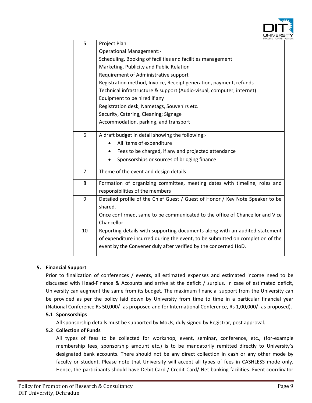

| 5              | Project Plan                                                                   |  |  |  |  |  |  |  |  |  |  |
|----------------|--------------------------------------------------------------------------------|--|--|--|--|--|--|--|--|--|--|
|                | <b>Operational Management:-</b>                                                |  |  |  |  |  |  |  |  |  |  |
|                | Scheduling, Booking of facilities and facilities management                    |  |  |  |  |  |  |  |  |  |  |
|                | Marketing, Publicity and Public Relation                                       |  |  |  |  |  |  |  |  |  |  |
|                | Requirement of Administrative support                                          |  |  |  |  |  |  |  |  |  |  |
|                | Registration method, Invoice, Receipt generation, payment, refunds             |  |  |  |  |  |  |  |  |  |  |
|                | Technical infrastructure & support (Audio-visual, computer, internet)          |  |  |  |  |  |  |  |  |  |  |
|                | Equipment to be hired if any                                                   |  |  |  |  |  |  |  |  |  |  |
|                | Registration desk, Nametags, Souvenirs etc.                                    |  |  |  |  |  |  |  |  |  |  |
|                | Security, Catering, Cleaning; Signage                                          |  |  |  |  |  |  |  |  |  |  |
|                | Accommodation, parking, and transport                                          |  |  |  |  |  |  |  |  |  |  |
| 6              | A draft budget in detail showing the following:-                               |  |  |  |  |  |  |  |  |  |  |
|                | All items of expenditure                                                       |  |  |  |  |  |  |  |  |  |  |
|                |                                                                                |  |  |  |  |  |  |  |  |  |  |
|                | Fees to be charged, if any and projected attendance                            |  |  |  |  |  |  |  |  |  |  |
|                | Sponsorships or sources of bridging finance                                    |  |  |  |  |  |  |  |  |  |  |
| $\overline{7}$ | Theme of the event and design details                                          |  |  |  |  |  |  |  |  |  |  |
| 8              | Formation of organizing committee, meeting dates with timeline, roles and      |  |  |  |  |  |  |  |  |  |  |
|                | responsibilities of the members                                                |  |  |  |  |  |  |  |  |  |  |
| 9              | Detailed profile of the Chief Guest / Guest of Honor / Key Note Speaker to be  |  |  |  |  |  |  |  |  |  |  |
|                | shared.                                                                        |  |  |  |  |  |  |  |  |  |  |
|                | Once confirmed, same to be communicated to the office of Chancellor and Vice   |  |  |  |  |  |  |  |  |  |  |
|                | Chancellor                                                                     |  |  |  |  |  |  |  |  |  |  |
| 10             | Reporting details with supporting documents along with an audited statement    |  |  |  |  |  |  |  |  |  |  |
|                | of expenditure incurred during the event, to be submitted on completion of the |  |  |  |  |  |  |  |  |  |  |
|                | event by the Convener duly after verified by the concerned HoD.                |  |  |  |  |  |  |  |  |  |  |
|                |                                                                                |  |  |  |  |  |  |  |  |  |  |

# **5. Financial Support**

Prior to finalization of conferences / events, all estimated expenses and estimated income need to be discussed with Head-Finance & Accounts and arrive at the deficit / surplus. In case of estimated deficit, University can augment the same from its budget. The maximum financial support from the University can be provided as per the policy laid down by University from time to time in a particular financial year (National Conference Rs 50,000/- as proposed and for International Conference, Rs 1,00,000/- as proposed).

#### **5.1 Sponsorships**

All sponsorship details must be supported by MoUs, duly signed by Registrar, post approval.

# **5.2 Collection of Funds**

All types of fees to be collected for workshop, event, seminar, conference, etc., (for-example membership fees, sponsorship amount etc.) is to be mandatorily remitted directly to University's designated bank accounts. There should not be any direct collection in cash or any other mode by faculty or student. Please note that University will accept all types of fees in CASHLESS mode only. Hence, the participants should have Debit Card / Credit Card/ Net banking facilities. Event coordinator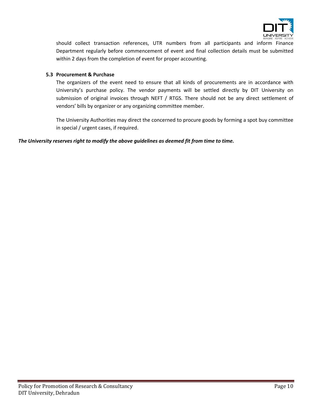

should collect transaction references, UTR numbers from all participants and inform Finance Department regularly before commencement of event and final collection details must be submitted within 2 days from the completion of event for proper accounting.

### **5.3 Procurement & Purchase**

The organizers of the event need to ensure that all kinds of procurements are in accordance with University's purchase policy. The vendor payments will be settled directly by DIT University on submission of original invoices through NEFT / RTGS. There should not be any direct settlement of vendors' bills by organizer or any organizing committee member.

The University Authorities may direct the concerned to procure goods by forming a spot buy committee in special / urgent cases, if required.

*The University reserves right to modify the above guidelines as deemed fit from time to time.*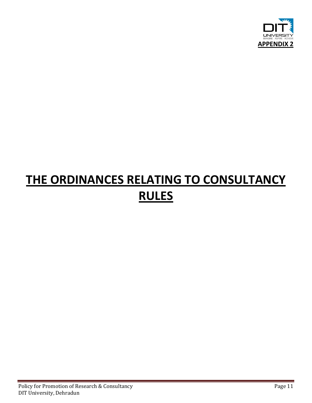

# **THE ORDINANCES RELATING TO CONSULTANCY RULES**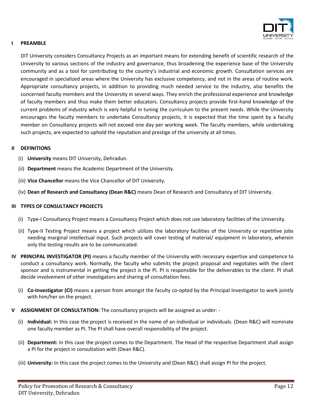

#### **I PREAMBLE**

DIT University considers Consultancy Projects as an important means for extending benefit of scientific research of the University to various sections of the industry and governance, thus broadening the experience base of the University community and as a tool for contributing to the country's industrial and economic growth. Consultation services are encouraged in specialized areas where the University has exclusive competency, and not in the areas of routine work. Appropriate consultancy projects, in addition to providing much needed service to the industry, also benefits the concerned faculty members and the University in several ways. They enrich the professional experience and knowledge of faculty members and thus make them better educators. Consultancy projects provide first-hand knowledge of the current problems of industry which is very helpful in tuning the curriculum to the present needs. While the University encourages the faculty members to undertake Consultancy projects, it is expected that the time spent by a faculty member on Consultancy projects will not exceed one day per working week. The faculty members, while undertaking such projects, are expected to uphold the reputation and prestige of the university at all times.

#### **II DEFINITIONS**

- (i) **University** means DIT University, Dehradun.
- (ii) **Department** means the Academic Department of the University.
- (iii) **Vice Chancellor** means the Vice Chancellor of DIT University.
- (iv) **Dean of Research and Consultancy (Dean R&C)** means Dean of Research and Consultancy of DIT University.

#### **III TYPES OF CONSULTANCY PROJECTS**

- (i) Type-I Consultancy Project means a Consultancy Project which does not use laboratory facilities of the University.
- (ii) Type-II Testing Project means a project which utilizes the laboratory facilities of the University or repetitive jobs needing marginal intellectual input. Such projects will cover testing of material/ equipment in laboratory, wherein only the testing results are to be communicated.
- **IV PRINCIPAL INVESTIGATOR (PI)** means a faculty member of the University with necessary expertise and competence to conduct a consultancy work. Normally, the faculty who submits the project proposal and negotiates with the client sponsor and is instrumental in getting the project is the PI. PI is responsible for the deliverables to the client. PI shall decide involvement of other investigators and sharing of consultation fees.
	- (i) **Co-Investigator (CI)** means a person from amongst the faculty co-opted by the Principal Investigator to work jointly with him/her on the project.
- **V ASSIGNMENT OF CONSULTATION:** The consultancy projects will be assigned as under:
	- (i) **Individual:** In this case the project is received in the name of an individual or individuals. (Dean R&C) will nominate one faculty member as PI. The PI shall have overall responsibility of the project.
	- (ii) **Department:** In this case the project comes to the Department. The Head of the respective Department shall assign a PI for the project in consultation with (Dean R&C).
	- (iii) **University:** In this case the project comes to the University and (Dean R&C) shall assign PI for the project.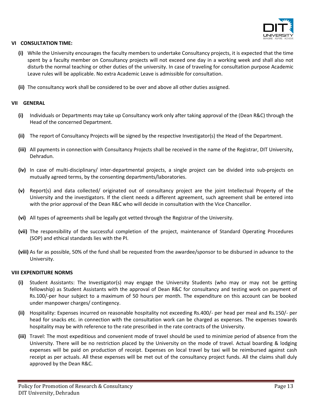

#### **VI CONSULTATION TIME:**

- **(i)** While the University encourages the faculty members to undertake Consultancy projects, it is expected that the time spent by a faculty member on Consultancy projects will not exceed one day in a working week and shall also not disturb the normal teaching or other duties of the university. In case of traveling for consultation purpose Academic Leave rules will be applicable. No extra Academic Leave is admissible for consultation.
- **(ii)** The consultancy work shall be considered to be over and above all other duties assigned.

#### **VII GENERAL**

- **(i)** Individuals or Departments may take up Consultancy work only after taking approval of the (Dean R&C) through the Head of the concerned Department.
- **(ii)** The report of Consultancy Projects will be signed by the respective Investigator(s) the Head of the Department.
- **(iii)** All payments in connection with Consultancy Projects shall be received in the name of the Registrar, DIT University, Dehradun.
- **(iv)** In case of multi-disciplinary/ inter-departmental projects, a single project can be divided into sub-projects on mutually agreed terms, by the consenting departments/laboratories.
- **(v)** Report(s) and data collected/ originated out of consultancy project are the joint Intellectual Property of the University and the investigators. If the client needs a different agreement, such agreement shall be entered into with the prior approval of the Dean R&C who will decide in consultation with the Vice Chancellor.
- **(vi)** All types of agreements shall be legally got vetted through the Registrar of the University.
- **(vii)** The responsibility of the successful completion of the project, maintenance of Standard Operating Procedures (SOP) and ethical standards lies with the PI.
- **(viii)** As far as possible, 50% of the fund shall be requested from the awardee/sponsor to be disbursed in advance to the University.

#### **VIII EXPENDITURE NORMS**

- **(i)** Student Assistants: The Investigator(s) may engage the University Students (who may or may not be getting fellowship) as Student Assistants with the approval of Dean R&C for consultancy and testing work on payment of Rs.100/-per hour subject to a maximum of 50 hours per month. The expenditure on this account can be booked under manpower charges/ contingency.
- **(ii)** Hospitality: Expenses incurred on reasonable hospitality not exceeding Rs.400/- per head per meal and Rs.150/- per head for snacks etc. in connection with the consultation work can be charged as expenses. The expenses towards hospitality may be with reference to the rate prescribed in the rate contracts of the University.
- **(iii)** Travel: The most expeditious and convenient mode of travel should be used to minimize period of absence from the University. There will be no restriction placed by the University on the mode of travel. Actual boarding & lodging expenses will be paid on production of receipt. Expenses on local travel by taxi will be reimbursed against cash receipt as per actuals. All these expenses will be met out of the consultancy project funds. All the claims shall duly approved by the Dean R&C.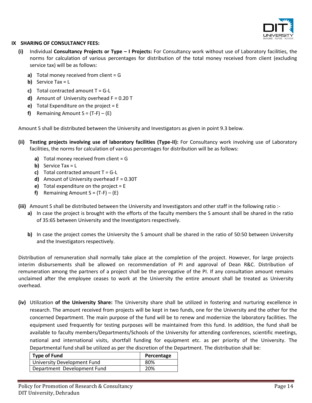

#### **IX SHARING OF CONSULTANCY FEES:**

- **(i)** Individual **Consultancy Projects or Type – I Projects:** For Consultancy work without use of Laboratory facilities, the norms for calculation of various percentages for distribution of the total money received from client (excluding service tax) will be as follows:
	- **a)** Total money received from client = G
	- **b)** Service Tax = L
	- **c)** Total contracted amount  $T = G-L$
	- **d)** Amount of University overhead F = 0.20 T
	- **e)** Total Expenditure on the project = E
	- **f)** Remaining Amount  $S = (T-F) (E)$

Amount S shall be distributed between the University and Investigators as given in point 9.3 below.

- **(ii) Testing projects involving use of laboratory facilities (Type-II):** For Consultancy work involving use of Laboratory facilities, the norms for calculation of various percentages for distribution will be as follows:
	- **a)** Total money received from client = G
	- **b)** Service Tax = L
	- **c)** Total contracted amount  $T = G-L$
	- **d)** Amount of University overhead F = 0.30T
	- **e)** Total expenditure on the project = E
	- **f)** Remaining Amount  $S = (T-F) (E)$
- **(iii)** Amount S shall be distributed between the University and Investigators and other staff in the following ratio :
	- **a)** In case the project is brought with the efforts of the faculty members the S amount shall be shared in the ratio of 35:65 between University and the Investigators respectively.
	- **b)** In case the project comes the University the S amount shall be shared in the ratio of 50:50 between University and the Investigators respectively.

Distribution of remuneration shall normally take place at the completion of the project. However, for large projects interim disbursements shall be allowed on recommendation of PI and approval of Dean R&C. Distribution of remuneration among the partners of a project shall be the prerogative of the PI. If any consultation amount remains unclaimed after the employee ceases to work at the University the entire amount shall be treated as University overhead.

**(iv)** Utilization **of the University Share:** The University share shall be utilized in fostering and nurturing excellence in research. The amount received from projects will be kept in two funds, one for the University and the other for the concerned Department. The main purpose of the fund will be to renew and modernize the laboratory facilities. The equipment used frequently for testing purposes will be maintained from this fund. In addition, the fund shall be available to faculty members/Departments/Schools of the University for attending conferences, scientific meetings, national and international visits, shortfall funding for equipment etc. as per priority of the University. The Departmental fund shall be utilized as per the discretion of the Department. The distribution shall be:

| <b>Type of Fund</b>         | Percentage |
|-----------------------------|------------|
| University Development Fund | 80%        |
| Department Development Fund | 20%        |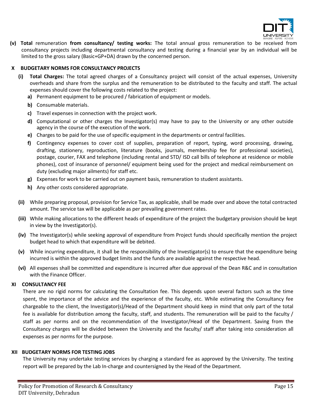

**(v) Total** remuneration **from consultancy/ testing works:** The total annual gross remuneration to be received from consultancy projects including departmental consultancy and testing during a financial year by an individual will be limited to the gross salary (Basic+GP+DA) drawn by the concerned person.

# **X BUDGETARY NORMS FOR CONSULTANCY PROJECTS**

- **(i) Total Charges:** The total agreed charges of a Consultancy project will consist of the actual expenses, University overheads and share from the surplus and the remuneration to be distributed to the faculty and staff. The actual expenses should cover the following costs related to the project:
	- **a)** Permanent equipment to be procured / fabrication of equipment or models.
	- **b)** Consumable materials.
	- **c)** Travel expenses in connection with the project work.
	- **d)** Computational or other charges the Investigator(s) may have to pay to the University or any other outside agency in the course of the execution of the work.
	- **e)** Charges to be paid for the use of specific equipment in the departments or central facilities.
	- **f)** Contingency expenses to cover cost of supplies, preparation of report, typing, word processing, drawing, drafting, stationery, reproduction, literature (books, journals, membership fee for professional societies), postage, courier, FAX and telephone (including rental and STD/ ISD call bills of telephone at residence or mobile phones), cost of insurance of personnel/ equipment being used for the project and medical reimbursement on duty (excluding major ailments) for staff etc.
	- **g)** Expenses for work to be carried out on payment basis, remuneration to student assistants.
	- **h)** Any other costs considered appropriate.
- **(ii)** While preparing proposal, provision for Service Tax, as applicable, shall be made over and above the total contracted amount. The service tax will be applicable as per prevailing government rates.
- **(iii)** While making allocations to the different heads of expenditure of the project the budgetary provision should be kept in view by the Investigator(s).
- **(iv)** The Investigator(s) while seeking approval of expenditure from Project funds should specifically mention the project budget head to which that expenditure will be debited.
- **(v)** While incurring expenditure, it shall be the responsibility of the Investigator(s) to ensure that the expenditure being incurred is within the approved budget limits and the funds are available against the respective head.
- **(vi)** All expenses shall be committed and expenditure is incurred after due approval of the Dean R&C and in consultation with the Finance Officer.

#### **XI CONSULTANCY FEE**

There are no rigid norms for calculating the Consultation fee. This depends upon several factors such as the time spent, the importance of the advice and the experience of the faculty, etc. While estimating the Consultancy fee chargeable to the client, the Investigator(s)/Head of the Department should keep in mind that only part of the total fee is available for distribution among the faculty, staff, and students. The remuneration will be paid to the faculty / staff as per norms and on the recommendation of the Investigator/Head of the Department. Saving from the Consultancy charges will be divided between the University and the faculty/ staff after taking into consideration all expenses as per norms for the purpose.

#### **XII BUDGETARY NORMS FOR TESTING JOBS**

The University may undertake testing services by charging a standard fee as approved by the University. The testing report will be prepared by the Lab In-charge and countersigned by the Head of the Department.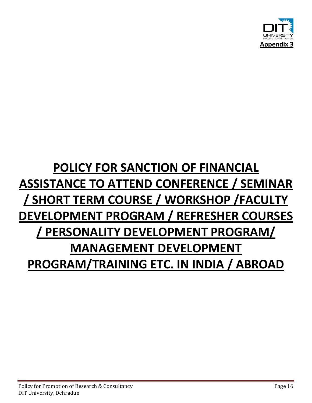

# **POLICY FOR SANCTION OF FINANCIAL ASSISTANCE TO ATTEND CONFERENCE / SEMINAR / SHORT TERM COURSE / WORKSHOP /FACULTY DEVELOPMENT PROGRAM / REFRESHER COURSES / PERSONALITY DEVELOPMENT PROGRAM/ MANAGEMENT DEVELOPMENT PROGRAM/TRAINING ETC. IN INDIA / ABROAD**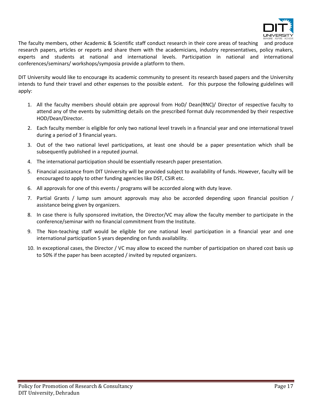

The faculty members, other Academic & Scientific staff conduct research in their core areas of teaching and produce research papers, articles or reports and share them with the academicians, industry representatives, policy makers, experts and students at national and international levels. Participation in national and international conferences/seminars/ workshops/symposia provide a platform to them.

DIT University would like to encourage its academic community to present its research based papers and the University intends to fund their travel and other expenses to the possible extent. For this purpose the following guidelines will apply:

- 1. All the faculty members should obtain pre approval from HoD/ Dean(RNC)/ Director of respective faculty to attend any of the events by submitting details on the prescribed format duly recommended by their respective HOD/Dean/Director.
- 2. Each faculty member is eligible for only two national level travels in a financial year and one international travel during a period of 3 financial years.
- 3. Out of the two national level participations, at least one should be a paper presentation which shall be subsequently published in a reputed journal.
- 4. The international participation should be essentially research paper presentation.
- 5. Financial assistance from DIT University will be provided subject to availability of funds. However, faculty will be encouraged to apply to other funding agencies like DST, CSIR etc.
- 6. All approvals for one of this events / programs will be accorded along with duty leave.
- 7. Partial Grants / lump sum amount approvals may also be accorded depending upon financial position / assistance being given by organizers.
- 8. In case there is fully sponsored invitation, the Director/VC may allow the faculty member to participate in the conference/seminar with no financial commitment from the Institute.
- 9. The Non-teaching staff would be eligible for one national level participation in a financial year and one international participation 5 years depending on funds availability.
- 10. In exceptional cases, the Director / VC may allow to exceed the number of participation on shared cost basis up to 50% if the paper has been accepted / invited by reputed organizers.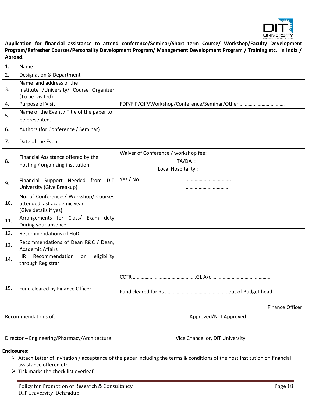

|         |  |  | Application for financial assistance to attend conference/Seminar/Short term Course/ Workshop/Faculty Development    |  |  |  |  |
|---------|--|--|----------------------------------------------------------------------------------------------------------------------|--|--|--|--|
|         |  |  | Program/Refresher Courses/Personality Development Program/ Management Development Program / Training etc. in India / |  |  |  |  |
| Abroad. |  |  |                                                                                                                      |  |  |  |  |

| 1.  | Name                                                                                          |                                                                       |
|-----|-----------------------------------------------------------------------------------------------|-----------------------------------------------------------------------|
| 2.  | Designation & Department                                                                      |                                                                       |
| 3.  | Name and address of the<br>Institute /University/ Course Organizer<br>(To be visited)         |                                                                       |
| 4.  | Purpose of Visit                                                                              | FDP/FIP/QIP/Workshop/Conference/Seminar/Other                         |
| 5.  | Name of the Event / Title of the paper to<br>be presented.                                    |                                                                       |
| 6.  | Authors (for Conference / Seminar)                                                            |                                                                       |
| 7.  | Date of the Event                                                                             |                                                                       |
| 8.  | Financial Assistance offered by the<br>hosting / organizing institution.                      | Waiver of Conference / workshop fee:<br>TA/DA :<br>Local Hospitality: |
| 9.  | Financial Support Needed from DIT<br>University (Give Breakup)                                | Yes / No<br>                                                          |
| 10. | No. of Conferences/ Workshop/ Courses<br>attended last academic year<br>(Give details if yes) |                                                                       |
| 11. | Arrangements for Class/ Exam duty<br>During your absence                                      |                                                                       |
| 12. | Recommendations of HoD                                                                        |                                                                       |
| 13. | Recommendations of Dean R&C / Dean,<br><b>Academic Affairs</b>                                |                                                                       |
| 14. | Recommendation<br>eligibility<br><b>HR</b><br>on<br>through Registrar                         |                                                                       |
| 15. | Fund cleared by Finance Officer                                                               |                                                                       |
|     |                                                                                               | Finance Officer                                                       |
|     | Recommendations of:                                                                           | Approved/Not Approved                                                 |
|     | Director - Engineering/Pharmacy/Architecture                                                  | Vice Chancellor, DIT University                                       |

#### **Enclosures:**

- Attach Letter of invitation / acceptance of the paper including the terms & conditions of the host institution on financial assistance offered etc.
- $\triangleright$  Tick marks the check list overleaf.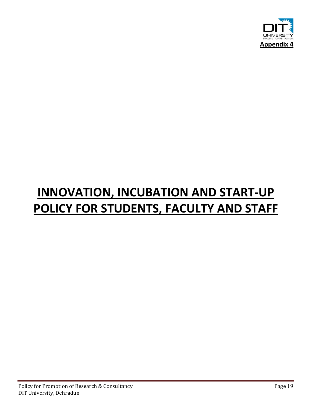

# **INNOVATION, INCUBATION AND START-UP POLICY FOR STUDENTS, FACULTY AND STAFF**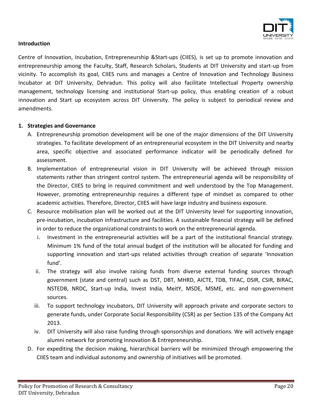

# **Introduction**

Centre of Innovation, Incubation, Entrepreneurship &Start-ups (CIIES), is set up to promote innovation and entrepreneurship among the Faculty, Staff, Research Scholars, Students at DIT University and start-up from vicinity. To accomplish its goal, CIIES runs and manages a Centre of Innovation and Technology Business Incubator at DIT University, Dehradun. This policy will also facilitate Intellectual Property ownership management, technology licensing and institutional Start-up policy, thus enabling creation of a robust innovation and Start up ecosystem across DIT University. The policy is subject to periodical review and amendments.

# **1. Strategies and Governance**

- A. Entrepreneurship promotion development will be one of the major dimensions of the DIT University strategies. To facilitate development of an entrepreneurial ecosystem in the DIT University and nearby area, specific objective and associated performance indicator will be periodically defined for assessment.
- B. Implementation of entrepreneurial vision in DIT University will be achieved through mission statements rather than stringent control system. The entrepreneurial agenda will be responsibility of the Director, CIIES to bring in required commitment and well understood by the Top Management. However, promoting entrepreneurship requires a different type of mindset as compared to other academic activities. Therefore, Director, CIIES will have large industry and business exposure.
- C. Resource mobilisation plan will be worked out at the DIT University level for supporting innovation, pre-incubation, incubation infrastructure and facilities. A sustainable financial strategy will be defined in order to reduce the organizational constraints to work on the entrepreneurial agenda.
	- i. Investment in the entrepreneurial activities will be a part of the institutional financial strategy. Minimum 1% fund of the total annual budget of the institution will be allocated for funding and supporting innovation and start-ups related activities through creation of separate 'Innovation fund'.
	- ii. The strategy will also involve raising funds from diverse external funding sources through government (state and central) such as DST, DBT, MHRD, AICTE, TDB, TIFAC, DSIR, CSIR, BIRAC, NSTEDB, NRDC, Start-up India, Invest India, MeitY, MSDE, MSME, etc. and non-government sources.
	- iii. To support technology incubators, DIT University will approach private and corporate sectors to generate funds, under Corporate Social Responsibility (CSR) as per Section 135 of the Company Act 2013.
	- iv. DIT University will also raise funding through sponsorships and donations. We will actively engage alumni network for promoting Innovation & Entrepreneurship.
- D. For expediting the decision making, hierarchical barriers will be minimized through empowering the CIIES team and individual autonomy and ownership of initiatives will be promoted.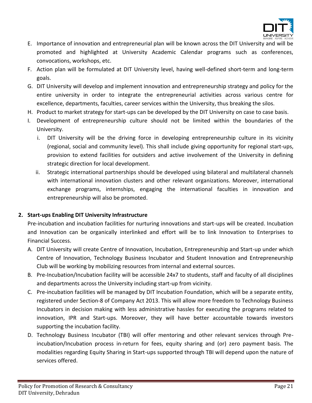

- E. Importance of innovation and entrepreneurial plan will be known across the DIT University and will be promoted and highlighted at University Academic Calendar programs such as conferences, convocations, workshops, etc.
- F. Action plan will be formulated at DIT University level, having well-defined short-term and long-term goals.
- G. DIT University will develop and implement innovation and entrepreneurship strategy and policy for the entire university in order to integrate the entrepreneurial activities across various centre for excellence, departments, faculties, career services within the University, thus breaking the silos.
- H. Product to market strategy for start-ups can be developed by the DIT University on case to case basis.
- I. Development of entrepreneurship culture should not be limited within the boundaries of the University.
	- i. DIT University will be the driving force in developing entrepreneurship culture in its vicinity (regional, social and community level). This shall include giving opportunity for regional start-ups, provision to extend facilities for outsiders and active involvement of the University in defining strategic direction for local development.
	- ii. Strategic international partnerships should be developed using bilateral and multilateral channels with international innovation clusters and other relevant organizations. Moreover, international exchange programs, internships, engaging the international faculties in innovation and entrepreneurship will also be promoted.

# **2. Start-ups Enabling DIT University Infrastructure**

Pre-incubation and incubation facilities for nurturing innovations and start-ups will be created. Incubation and Innovation can be organically interlinked and effort will be to link Innovation to Enterprises to Financial Success.

- A. DIT University will create Centre of Innovation, Incubation, Entrepreneurship and Start-up under which Centre of Innovation, Technology Business Incubator and Student Innovation and Entrepreneurship Club will be working by mobilizing resources from internal and external sources.
- B. Pre-Incubation/Incubation facility will be accessible 24x7 to students, staff and faculty of all disciplines and departments across the University including start-up from vicinity.
- C. Pre-incubation facilities will be managed by DIT Incubation Foundation, which will be a separate entity, registered under Section-8 of Company Act 2013. This will allow more freedom to Technology Business Incubators in decision making with less administrative hassles for executing the programs related to innovation, IPR and Start-ups. Moreover, they will have better accountable towards investors supporting the incubation facility.
- D. Technology Business Incubator (TBI) will offer mentoring and other relevant services through Preincubation/Incubation process in-return for fees, equity sharing and (or) zero payment basis. The modalities regarding Equity Sharing in Start-ups supported through TBI will depend upon the nature of services offered.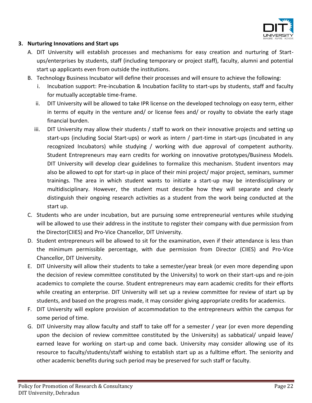

# **3. Nurturing Innovations and Start ups**

- A. DIT University will establish processes and mechanisms for easy creation and nurturing of Startups/enterprises by students, staff (including temporary or project staff), faculty, alumni and potential start up applicants even from outside the institutions.
- B. Technology Business Incubator will define their processes and will ensure to achieve the following:
	- i. Incubation support: Pre-incubation & Incubation facility to start-ups by students, staff and faculty for mutually acceptable time-frame.
	- ii. DIT University will be allowed to take IPR license on the developed technology on easy term, either in terms of equity in the venture and/ or license fees and/ or royalty to obviate the early stage financial burden.
	- iii. DIT University may allow their students / staff to work on their innovative projects and setting up start-ups (including Social Start-ups) or work as intern / part-time in start-ups (incubated in any recognized Incubators) while studying / working with due approval of competent authority. Student Entrepreneurs may earn credits for working on innovative prototypes/Business Models. DIT University will develop clear guidelines to formalize this mechanism. Student inventors may also be allowed to opt for start-up in place of their mini project/ major project, seminars, summer trainings. The area in which student wants to initiate a start-up may be interdisciplinary or multidisciplinary. However, the student must describe how they will separate and clearly distinguish their ongoing research activities as a student from the work being conducted at the start up.
- C. Students who are under incubation, but are pursuing some entrepreneurial ventures while studying will be allowed to use their address in the institute to register their company with due permission from the Director(CIIES) and Pro-Vice Chancellor, DIT University.
- D. Student entrepreneurs will be allowed to sit for the examination, even if their attendance is less than the minimum permissible percentage, with due permission from Director (CIIES) and Pro-Vice Chancellor, DIT University.
- E. DIT University will allow their students to take a semester/year break (or even more depending upon the decision of review committee constituted by the University) to work on their start-ups and re-join academics to complete the course. Student entrepreneurs may earn academic credits for their efforts while creating an enterprise. DIT University will set up a review committee for review of start up by students, and based on the progress made, it may consider giving appropriate credits for academics.
- F. DIT University will explore provision of accommodation to the entrepreneurs within the campus for some period of time.
- G. DIT University may allow faculty and staff to take off for a semester / year (or even more depending upon the decision of review committee constituted by the University) as sabbatical/ unpaid leave/ earned leave for working on start-up and come back. University may consider allowing use of its resource to faculty/students/staff wishing to establish start up as a fulltime effort. The seniority and other academic benefits during such period may be preserved for such staff or faculty.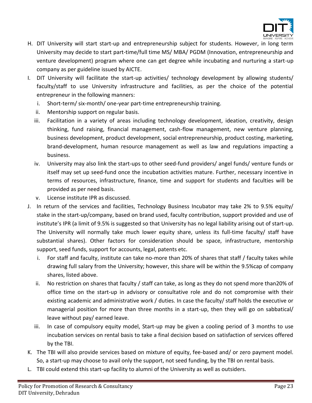

- H. DIT University will start start-up and entrepreneurship subject for students. However, in long term University may decide to start part-time/full time MS/ MBA/ PGDM (Innovation, entrepreneurship and venture development) program where one can get degree while incubating and nurturing a start-up company as per guideline issued by AICTE.
- I. DIT University will facilitate the start-up activities/ technology development by allowing students/ faculty/staff to use University infrastructure and facilities, as per the choice of the potential entrepreneur in the following manners:
	- i. Short-term/ six-month/ one-year part-time entrepreneurship training.
	- ii. Mentorship support on regular basis.
	- iii. Facilitation in a variety of areas including technology development, ideation, creativity, design thinking, fund raising, financial management, cash-flow management, new venture planning, business development, product development, social entrepreneurship, product costing, marketing, brand-development, human resource management as well as law and regulations impacting a business.
	- iv. University may also link the start-ups to other seed-fund providers/ angel funds/ venture funds or itself may set up seed-fund once the incubation activities mature. Further, necessary incentive in terms of resources, infrastructure, finance, time and support for students and faculties will be provided as per need basis.
	- v. License institute IPR as discussed.
- J. In return of the services and facilities, Technology Business Incubator may take 2% to 9.5% equity/ stake in the start-up/company, based on brand used, faculty contribution, support provided and use of institute's IPR (a limit of 9.5% is suggested so that University has no legal liability arising out of start-up. The University will normally take much lower equity share, unless its full-time faculty/ staff have substantial shares). Other factors for consideration should be space, infrastructure, mentorship support, seed funds, support for accounts, legal, patents etc.
	- i. For staff and faculty, institute can take no-more than 20% of shares that staff / faculty takes while drawing full salary from the University; however, this share will be within the 9.5%cap of company shares, listed above.
	- ii. No restriction on shares that faculty / staff can take, as long as they do not spend more than20% of office time on the start-up in advisory or consultative role and do not compromise with their existing academic and administrative work / duties. In case the faculty/ staff holds the executive or managerial position for more than three months in a start-up, then they will go on sabbatical/ leave without pay/ earned leave.
	- iii. In case of compulsory equity model, Start-up may be given a cooling period of 3 months to use incubation services on rental basis to take a final decision based on satisfaction of services offered by the TBI.
- K. The TBI will also provide services based on mixture of equity, fee-based and/ or zero payment model. So, a start-up may choose to avail only the support, not seed funding, by the TBI on rental basis.
- L. TBI could extend this start-up facility to alumni of the University as well as outsiders.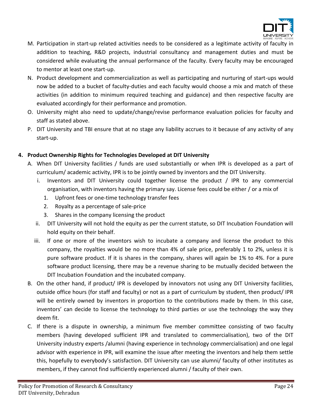

- M. Participation in start-up related activities needs to be considered as a legitimate activity of faculty in addition to teaching, R&D projects, industrial consultancy and management duties and must be considered while evaluating the annual performance of the faculty. Every faculty may be encouraged to mentor at least one start-up.
- N. Product development and commercialization as well as participating and nurturing of start-ups would now be added to a bucket of faculty-duties and each faculty would choose a mix and match of these activities (in addition to minimum required teaching and guidance) and then respective faculty are evaluated accordingly for their performance and promotion.
- O. University might also need to update/change/revise performance evaluation policies for faculty and staff as stated above.
- P. DIT University and TBI ensure that at no stage any liability accrues to it because of any activity of any start-up.

# **4. Product Ownership Rights for Technologies Developed at DIT University**

- A. When DIT University facilities / funds are used substantially or when IPR is developed as a part of curriculum/ academic activity, IPR is to be jointly owned by inventors and the DIT University.
	- i. Inventors and DIT University could together license the product / IPR to any commercial organisation, with inventors having the primary say. License fees could be either / or a mix of
		- 1. Upfront fees or one-time technology transfer fees
		- 2. Royalty as a percentage of sale-price
		- 3. Shares in the company licensing the product
	- ii. DIT University will not hold the equity as per the current statute, so DIT Incubation Foundation will hold equity on their behalf.
	- iii. If one or more of the inventors wish to incubate a company and license the product to this company, the royalties would be no more than 4% of sale price, preferably 1 to 2%, unless it is pure software product. If it is shares in the company, shares will again be 1% to 4%. For a pure software product licensing, there may be a revenue sharing to be mutually decided between the DIT Incubation Foundation and the incubated company.
- B. On the other hand, if product/ IPR is developed by innovators not using any DIT University facilities, outside office hours (for staff and faculty) or not as a part of curriculum by student, then product/ IPR will be entirely owned by inventors in proportion to the contributions made by them. In this case, inventors' can decide to license the technology to third parties or use the technology the way they deem fit.
- C. If there is a dispute in ownership, a minimum five member committee consisting of two faculty members (having developed sufficient IPR and translated to commercialisation), two of the DIT University industry experts /alumni (having experience in technology commercialisation) and one legal advisor with experience in IPR, will examine the issue after meeting the inventors and help them settle this, hopefully to everybody's satisfaction. DIT University can use alumni/ faculty of other institutes as members, if they cannot find sufficiently experienced alumni / faculty of their own.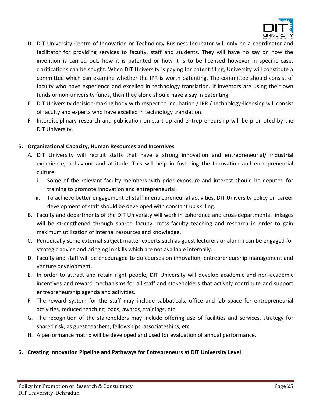

- D. DIT University Centre of Innovation or Technology Business Incubator will only be a coordinator and facilitator for providing services to faculty, staff and students. They will have no say on how the invention is carried out, how it is patented or how it is to be licensed however in specific case, clarifications can be sought. When DIT University is paying for patent filing, University will constitute a committee which can examine whether the IPR is worth patenting. The committee should consist of faculty who have experience and excelled in technology translation. If inventors are using their own funds or non-university funds, then they alone should have a say in patenting.
- E. DIT University decision-making body with respect to incubation / IPR / technology-licensing will consist of faculty and experts who have excelled in technology translation.
- F. Interdisciplinary research and publication on start-up and entrepreneurship will be promoted by the DIT University.

# **5. Organizational Capacity, Human Resources and Incentives**

- A. DIT University will recruit staffs that have a strong innovation and entrepreneurial/ industrial experience, behaviour and attitude. This will help in fostering the Innovation and entrepreneurial culture.
	- i. Some of the relevant faculty members with prior exposure and interest should be deputed for training to promote innovation and entrepreneurial.
	- ii. To achieve better engagement of staff in entrepreneurial activities, DIT University policy on career development of staff should be developed with constant up skilling.
- B. Faculty and departments of the DIT University will work in coherence and cross-departmental linkages will be strengthened through shared faculty, cross-faculty teaching and research in order to gain maximum utilization of internal resources and knowledge.
- C. Periodically some external subject matter experts such as guest lecturers or alumni can be engaged for strategic advice and bringing in skills which are not available internally.
- D. Faculty and staff will be encouraged to do courses on innovation, entrepreneurship management and venture development.
- E. In order to attract and retain right people, DIT University will develop academic and non-academic incentives and reward mechanisms for all staff and stakeholders that actively contribute and support entrepreneurship agenda and activities.
- F. The reward system for the staff may include sabbaticals, office and lab space for entrepreneurial activities, reduced teaching loads, awards, trainings, etc.
- G. The recognition of the stakeholders may include offering use of facilities and services, strategy for shared risk, as guest teachers, fellowships, associateships, etc.
- H. A performance matrix will be developed and used for evaluation of annual performance.

# **6. Creating Innovation Pipeline and Pathways for Entrepreneurs at DIT University Level**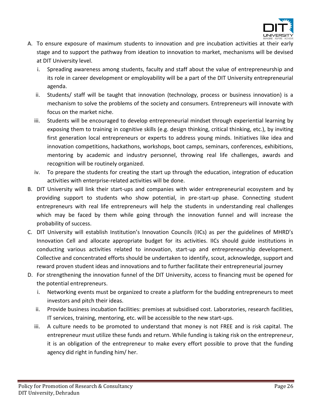

- A. To ensure exposure of maximum students to innovation and pre incubation activities at their early stage and to support the pathway from ideation to innovation to market, mechanisms will be devised at DIT University level.
	- i. Spreading awareness among students, faculty and staff about the value of entrepreneurship and its role in career development or employability will be a part of the DIT University entrepreneurial agenda.
	- ii. Students/ staff will be taught that innovation (technology, process or business innovation) is a mechanism to solve the problems of the society and consumers. Entrepreneurs will innovate with focus on the market niche.
	- iii. Students will be encouraged to develop entrepreneurial mindset through experiential learning by exposing them to training in cognitive skills (e.g. design thinking, critical thinking, etc.), by inviting first generation local entrepreneurs or experts to address young minds. Initiatives like idea and innovation competitions, hackathons, workshops, boot camps, seminars, conferences, exhibitions, mentoring by academic and industry personnel, throwing real life challenges, awards and recognition will be routinely organized.
	- iv. To prepare the students for creating the start up through the education, integration of education activities with enterprise-related activities will be done.
- B. DIT University will link their start-ups and companies with wider entrepreneurial ecosystem and by providing support to students who show potential, in pre-start-up phase. Connecting student entrepreneurs with real life entrepreneurs will help the students in understanding real challenges which may be faced by them while going through the innovation funnel and will increase the probability of success.
- C. DIT University will establish Institution's Innovation Councils (IICs) as per the guidelines of MHRD's Innovation Cell and allocate appropriate budget for its activities. IICs should guide institutions in conducting various activities related to innovation, start-up and entrepreneurship development. Collective and concentrated efforts should be undertaken to identify, scout, acknowledge, support and reward proven student ideas and innovations and to further facilitate their entrepreneurial journey
- D. For strengthening the innovation funnel of the DIT University, access to financing must be opened for the potential entrepreneurs.
	- i. Networking events must be organized to create a platform for the budding entrepreneurs to meet investors and pitch their ideas.
	- ii. Provide business incubation facilities: premises at subsidised cost. Laboratories, research facilities, IT services, training, mentoring, etc. will be accessible to the new start-ups.
	- iii. A culture needs to be promoted to understand that money is not FREE and is risk capital. The entrepreneur must utilize these funds and return. While funding is taking risk on the entrepreneur, it is an obligation of the entrepreneur to make every effort possible to prove that the funding agency did right in funding him/ her.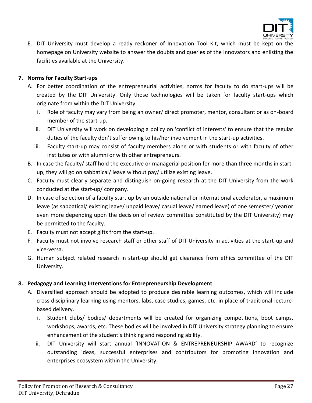

E. DIT University must develop a ready reckoner of Innovation Tool Kit, which must be kept on the homepage on University website to answer the doubts and queries of the innovators and enlisting the facilities available at the University.

# **7. Norms for Faculty Start-ups**

- A. For better coordination of the entrepreneurial activities, norms for faculty to do start-ups will be created by the DIT University. Only those technologies will be taken for faculty start-ups which originate from within the DIT University.
	- i. Role of faculty may vary from being an owner/ direct promoter, mentor, consultant or as on-board member of the start-up.
	- ii. DIT University will work on developing a policy on 'conflict of interests' to ensure that the regular duties of the faculty don't suffer owing to his/her involvement in the start-up activities.
	- iii. Faculty start-up may consist of faculty members alone or with students or with faculty of other institutes or with alumni or with other entrepreneurs.
- B. In case the faculty/ staff hold the executive or managerial position for more than three months in startup, they will go on sabbatical/ leave without pay/ utilize existing leave.
- C. Faculty must clearly separate and distinguish on-going research at the DIT University from the work conducted at the start-up/ company.
- D. In case of selection of a faculty start up by an outside national or international accelerator, a maximum leave (as sabbatical/ existing leave/ unpaid leave/ casual leave/ earned leave) of one semester/ year(or even more depending upon the decision of review committee constituted by the DIT University) may be permitted to the faculty.
- E. Faculty must not accept gifts from the start-up.
- F. Faculty must not involve research staff or other staff of DIT University in activities at the start-up and vice-versa.
- G. Human subject related research in start-up should get clearance from ethics committee of the DIT University.

# **8. Pedagogy and Learning Interventions for Entrepreneurship Development**

- A. Diversified approach should be adopted to produce desirable learning outcomes, which will include cross disciplinary learning using mentors, labs, case studies, games, etc. in place of traditional lecturebased delivery.
	- i. Student clubs/ bodies/ departments will be created for organizing competitions, boot camps, workshops, awards, etc. These bodies will be involved in DIT University strategy planning to ensure enhancement of the student's thinking and responding ability.
	- ii. DIT University will start annual 'INNOVATION & ENTREPRENEURSHIP AWARD' to recognize outstanding ideas, successful enterprises and contributors for promoting innovation and enterprises ecosystem within the University.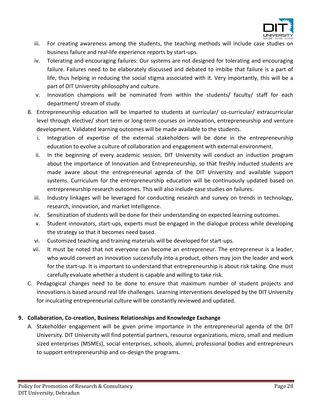

- iii. For creating awareness among the students, the teaching methods will include case studies on business failure and real-life experience reports by start-ups.
- iv. Tolerating and encouraging failures: Our systems are not designed for tolerating and encouraging failure. Failures need to be elaborately discussed and debated to imbibe that failure is a part of life, thus helping in reducing the social stigma associated with it. Very importantly, this will be a part of DIT University philosophy and culture.
- v. Innovation champions will be nominated from within the students/ faculty/ staff for each department/ stream of study.
- B. Entrepreneurship education will be imparted to students at curricular/ co-curricular/ extracurricular level through elective/ short term or long-term courses on innovation, entrepreneurship and venture development. Validated learning outcomes will be made available to the students.
	- i. Integration of expertise of the external stakeholders will be done in the entrepreneurship education to evolve a culture of collaboration and engagement with external environment.
	- ii. In the beginning of every academic session, DIT University will conduct an induction program about the importance of Innovation and Entrepreneurship, so that freshly inducted students are made aware about the entrepreneurial agenda of the DIT University and available support systems. Curriculum for the entrepreneurship education will be continuously updated based on entrepreneurship research outcomes. This will also include case studies on failures.
	- iii. Industry linkages will be leveraged for conducting research and survey on trends in technology, research, innovation, and market intelligence.
	- iv. Sensitization of students will be done for their understanding on expected learning outcomes.
	- v. Student innovators, start-ups, experts must be engaged in the dialogue process while developing the strategy so that it becomes need based.
	- vi. Customized teaching and training materials will be developed for start-ups.
	- vii. It must be noted that not everyone can become an entrepreneur. The entrepreneur is a leader, who would convert an innovation successfully into a product, others may join the leader and work for the start-up. It is important to understand that entrepreneurship is about risk taking. One must carefully evaluate whether a student is capable and willing to take risk.
- C. Pedagogical changes need to be done to ensure that maximum number of student projects and innovations is based around real life challenges. Learning interventions developed by the DIT University for inculcating entrepreneurial culture will be constantly reviewed and updated.

# **9. Collaboration, Co-creation, Business Relationships and Knowledge Exchange**

A. Stakeholder engagement will be given prime importance in the entrepreneurial agenda of the DIT University. DIT University will find potential partners, resource organizations, micro, small and medium sized enterprises (MSMEs), social enterprises, schools, alumni, professional bodies and entrepreneurs to support entrepreneurship and co-design the programs.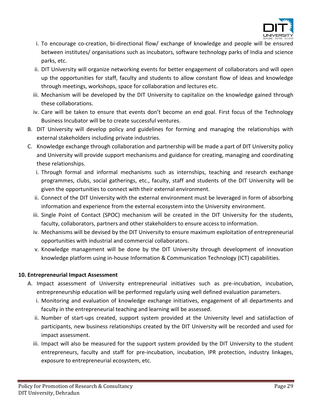

- i. To encourage co-creation, bi-directional flow/ exchange of knowledge and people will be ensured between institutes/ organisations such as incubators, software technology parks of India and science parks, etc.
- ii. DIT University will organize networking events for better engagement of collaborators and will open up the opportunities for staff, faculty and students to allow constant flow of ideas and knowledge through meetings, workshops, space for collaboration and lectures etc.
- iii. Mechanism will be developed by the DIT University to capitalize on the knowledge gained through these collaborations.
- iv. Care will be taken to ensure that events don't become an end goal. First focus of the Technology Business Incubator will be to create successful ventures.
- B. DIT University will develop policy and guidelines for forming and managing the relationships with external stakeholders including private industries.
- C. Knowledge exchange through collaboration and partnership will be made a part of DIT University policy and University will provide support mechanisms and guidance for creating, managing and coordinating these relationships.
	- i. Through formal and informal mechanisms such as internships, teaching and research exchange programmes, clubs, social gatherings, etc., faculty, staff and students of the DIT University will be given the opportunities to connect with their external environment.
	- ii. Connect of the DIT University with the external environment must be leveraged in form of absorbing information and experience from the external ecosystem into the University environment.
	- iii. Single Point of Contact (SPOC) mechanism will be created in the DIT University for the students, faculty, collaborators, partners and other stakeholders to ensure access to information.
	- iv. Mechanisms will be devised by the DIT University to ensure maximum exploitation of entrepreneurial opportunities with industrial and commercial collaborators.
	- v. Knowledge management will be done by the DIT University through development of innovation knowledge platform using in-house Information & Communication Technology (ICT) capabilities.

# **10. Entrepreneurial Impact Assessment**

- A. Impact assessment of University entrepreneurial initiatives such as pre-incubation, incubation, entrepreneurship education will be performed regularly using well defined evaluation parameters.
	- i. Monitoring and evaluation of knowledge exchange initiatives, engagement of all departments and faculty in the entrepreneurial teaching and learning will be assessed.
	- ii. Number of start-ups created, support system provided at the University level and satisfaction of participants, new business relationships created by the DIT University will be recorded and used for impact assessment.
	- iii. Impact will also be measured for the support system provided by the DIT University to the student entrepreneurs, faculty and staff for pre-incubation, incubation, IPR protection, industry linkages, exposure to entrepreneurial ecosystem, etc.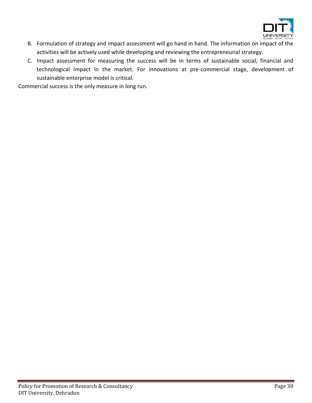

- B. Formulation of strategy and impact assessment will go hand in hand. The information on impact of the activities will be actively used while developing and reviewing the entrepreneurial strategy.
- C. Impact assessment for measuring the success will be in terms of sustainable social, financial and technological impact in the market. For innovations at pre-commercial stage, development of sustainable enterprise model is critical.

Commercial success is the only measure in long run.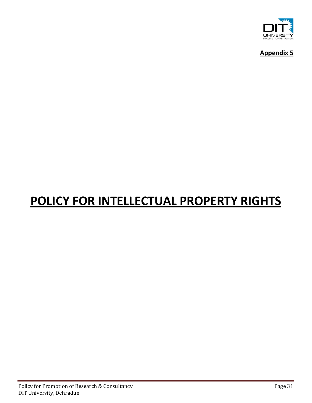

**Appendix 5**

# **POLICY FOR INTELLECTUAL PROPERTY RIGHTS**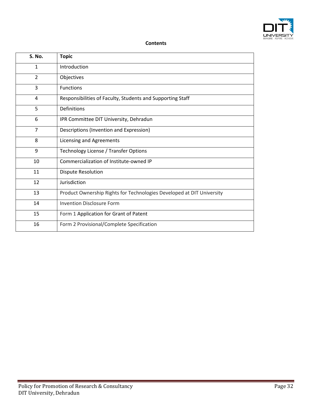

### **Contents**

| <b>S. No.</b>  | <b>Topic</b>                                                          |
|----------------|-----------------------------------------------------------------------|
| 1              | Introduction                                                          |
| $\overline{2}$ | Objectives                                                            |
| 3              | <b>Functions</b>                                                      |
| 4              | Responsibilities of Faculty, Students and Supporting Staff            |
| 5              | <b>Definitions</b>                                                    |
| 6              | IPR Committee DIT University, Dehradun                                |
| 7              | Descriptions (Invention and Expression)                               |
| 8              | Licensing and Agreements                                              |
| 9              | Technology License / Transfer Options                                 |
| 10             | Commercialization of Institute-owned IP                               |
| 11             | <b>Dispute Resolution</b>                                             |
| 12             | Jurisdiction                                                          |
| 13             | Product Ownership Rights for Technologies Developed at DIT University |
| 14             | <b>Invention Disclosure Form</b>                                      |
| 15             | Form 1 Application for Grant of Patent                                |
| 16             | Form 2 Provisional/Complete Specification                             |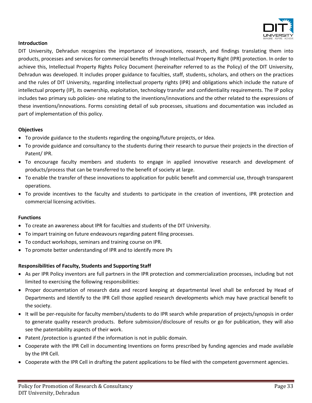

#### **Introduction**

DIT University, Dehradun recognizes the importance of innovations, research, and findings translating them into products, processes and services for commercial benefits through Intellectual Property Right (IPR) protection. In order to achieve this, Intellectual Property Rights Policy Document (hereinafter referred to as the Policy) of the DIT University, Dehradun was developed. It includes proper guidance to faculties, staff, students, scholars, and others on the practices and the rules of DIT University, regarding intellectual property rights (IPR) and obligations which include the nature of intellectual property (IP), its ownership, exploitation, technology transfer and confidentiality requirements. The IP policy includes two primary sub policies- one relating to the inventions/innovations and the other related to the expressions of these inventions/innovations. Forms consisting detail of sub processes, situations and documentation was included as part of implementation of this policy.

#### **Objectives**

- To provide guidance to the students regarding the ongoing/future projects, or Idea.
- To provide guidance and consultancy to the students during their research to pursue their projects in the direction of Patent/ IPR.
- To encourage faculty members and students to engage in applied innovative research and development of products/process that can be transferred to the benefit of society at large.
- To enable the transfer of these innovations to application for public benefit and commercial use, through transparent operations.
- To provide incentives to the faculty and students to participate in the creation of inventions, IPR protection and commercial licensing activities.

#### **Functions**

- To create an awareness about IPR for faculties and students of the DIT University.
- To impart training on future endeavours regarding patent filing processes.
- To conduct workshops, seminars and training course on IPR.
- To promote better understanding of IPR and to identify more IPs

#### **Responsibilities of Faculty, Students and Supporting Staff**

- As per IPR Policy inventors are full partners in the IPR protection and commercialization processes, including but not limited to exercising the following responsibilities:
- Proper documentation of research data and record keeping at departmental level shall be enforced by Head of Departments and Identify to the IPR Cell those applied research developments which may have practical benefit to the society.
- It will be per-requisite for faculty members/students to do IPR search while preparation of projects/synopsis in order to generate quality research products. Before submission/disclosure of results or go for publication, they will also see the patentability aspects of their work.
- Patent /protection is granted if the information is not in public domain.
- Cooperate with the IPR Cell in documenting Inventions on forms prescribed by funding agencies and made available by the IPR Cell.
- Cooperate with the IPR Cell in drafting the patent applications to be filed with the competent government agencies.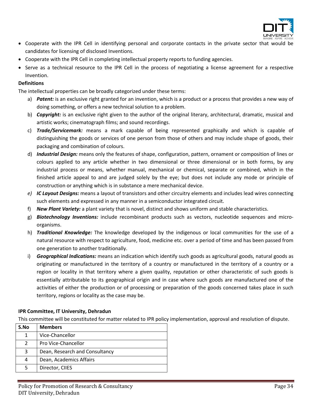

- Cooperate with the IPR Cell in identifying personal and corporate contacts in the private sector that would be candidates for licensing of disclosed Inventions.
- Cooperate with the IPR Cell in completing intellectual property reports to funding agencies.
- Serve as a technical resource to the IPR Cell in the process of negotiating a license agreement for a respective Invention.

### **Definitions**

The intellectual properties can be broadly categorized under these terms:

- a) *Patent:* is an exclusive right granted for an invention, which is a product or a process that provides a new way of doing something, or offers a new technical solution to a problem.
- b) *Copyright:* is an exclusive right given to the author of the original literary, architectural, dramatic, musical and artistic works; cinematograph films; and sound recordings.
- c) *Trade/Servicemark:* means a mark capable of being represented graphically and which is capable of distinguishing the goods or services of one person from those of others and may include shape of goods, their packaging and combination of colours.
- d) *Industrial Design:* means only the features of shape, configuration, pattern, ornament or composition of lines or colours applied to any article whether in two dimensional or three dimensional or in both forms, by any industrial process or means, whether manual, mechanical or chemical, separate or combined, which in the finished article appeal to and are judged solely by the eye; but does not include any mode or principle of construction or anything which is in substance a mere mechanical device.
- *e) IC Layout Designs:* means a layout of transistors and other circuitry elements and includes lead wires connecting such elements and expressed in any manner in a semiconductor integrated circuit.
- f) *New Plant Variety:* a plant variety that is novel, distinct and shows uniform and stable characteristics.
- g) **Biotechnology Inventions:** include recombinant products such as vectors, nucleotide sequences and microorganisms.
- h) *Traditional Knowledge:* The knowledge developed by the indigenous or local communities for the use of a natural resource with respect to agriculture, food, medicine etc. over a period of time and has been passed from one generation to another traditionally.
- i) *Geographical Indications:* means an indication which identify such goods as agricultural goods, natural goods as originating or manufactured in the territory of a country or manufactured in the territory of a country or a region or locality in that territory where a given quality, reputation or other characteristic of such goods is essentially attributable to its geographical origin and in case where such goods are manufactured one of the activities of either the production or of processing or preparation of the goods concerned takes place in such territory, regions or locality as the case may be.

# **IPR Committee, IT University, Dehradun**

This committee will be constituted for matter related to IPR policy implementation, approval and resolution of dispute.

| S.No          | <b>Members</b>                 |
|---------------|--------------------------------|
| 1             | Vice-Chancellor                |
| $\mathcal{P}$ | Pro Vice-Chancellor            |
| 3             | Dean, Research and Consultancy |
| 4             | Dean, Academics Affairs        |
|               | Director, CIIES                |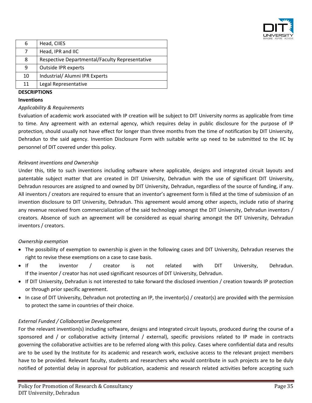

| 6  | Head, CIIES                                    |
|----|------------------------------------------------|
| 7  | Head, IPR and IIC                              |
| 8  | Respective Departmental/Faculty Representative |
| 9  | <b>Outside IPR experts</b>                     |
| 10 | Industrial/ Alumni IPR Experts                 |
| 11 | Legal Representative                           |

#### **DESCRIPTIONS**

#### **Inventions**

#### *Applicability & Requirements*

Evaluation of academic work associated with IP creation will be subject to DIT University norms as applicable from time to time. Any agreement with an external agency, which requires delay in public disclosure for the purpose of IP protection, should usually not have effect for longer than three months from the time of notification by DIT University, Dehradun to the said agency. Invention Disclosure Form with suitable write up need to be submitted to the IIC by personnel of DIT covered under this policy.

#### *Relevant inventions and Ownership*

Under this, title to such inventions including software where applicable, designs and integrated circuit layouts and patentable subject matter that are created in DIT University, Dehradun with the use of significant DIT University, Dehradun resources are assigned to and owned by DIT University, Dehradun, regardless of the source of funding, if any. All inventors / creators are required to ensure that an inventor's agreement form is filled at the time of submission of an invention disclosure to DIT University, Dehradun. This agreement would among other aspects, include ratio of sharing any revenue received from commercialization of the said technology amongst the DIT University, Dehradun inventors / creators. Absence of such an agreement will be considered as equal sharing amongst the DIT University, Dehradun inventors / creators.

#### *Ownership exemption*

- The possibility of exemption to ownership is given in the following cases and DIT University, Dehradun reserves the right to revise these exemptions on a case to case basis.
- If the inventor / creator is not related with DIT University, Dehradun. If the inventor / creator has not used significant resources of DIT University, Dehradun.
- If DIT University, Dehradun is not interested to take forward the disclosed invention / creation towards IP protection or through prior specific agreement.
- In case of DIT University, Dehradun not protecting an IP, the inventor(s) / creator(s) are provided with the permission to protect the same in countries of their choice.

# *External Funded / Collaborative Development*

For the relevant invention(s) including software, designs and integrated circuit layouts, produced during the course of a sponsored and / or collaborative activity (internal / external), specific provisions related to IP made in contracts governing the collaborative activities are to be referred along with this policy. Cases where confidential data and results are to be used by the Institute for its academic and research work, exclusive access to the relevant project members have to be provided. Relevant faculty, students and researchers who would contribute in such projects are to be duly notified of potential delay in approval for publication, academic and research related activities before accepting such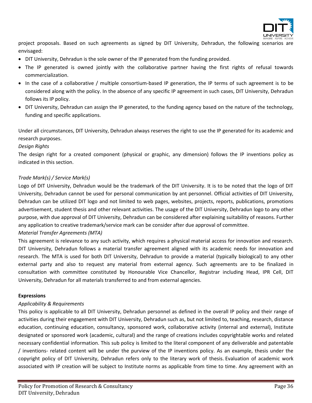

project proposals. Based on such agreements as signed by DIT University, Dehradun, the following scenarios are envisaged:

- DIT University, Dehradun is the sole owner of the IP generated from the funding provided.
- The IP generated is owned jointly with the collaborative partner having the first rights of refusal towards commercialization.
- In the case of a collaborative / multiple consortium-based IP generation, the IP terms of such agreement is to be considered along with the policy. In the absence of any specific IP agreement in such cases, DIT University, Dehradun follows its IP policy.
- DIT University, Dehradun can assign the IP generated, to the funding agency based on the nature of the technology, funding and specific applications.

Under all circumstances, DIT University, Dehradun always reserves the right to use the IP generated for its academic and research purposes.

# *Design Rights*

The design right for a created component (physical or graphic, any dimension) follows the IP inventions policy as indicated in this section.

# *Trade Mark(s) / Service Mark(s)*

Logo of DIT University, Dehradun would be the trademark of the DIT University. It is to be noted that the logo of DIT University, Dehradun cannot be used for personal communication by ant personnel. Official activities of DIT University, Dehradun can be utilized DIT logo and not limited to web pages, websites, projects, reports, publications, promotions advertisement, student thesis and other relevant activities. The usage of the DIT University, Dehradun logo to any other purpose, with due approval of DIT University, Dehradun can be considered after explaining suitability of reasons. Further any application to creative trademark/service mark can be consider after due approval of committee.

# *Material Transfer Agreements (MTA)*

This agreement is relevance to any such activity, which requires a physical material access for innovation and research. DIT University, Dehradun follows a material transfer agreement aligned with its academic needs for innovation and research. The MTA is used for both DIT University, Dehradun to provide a material (typically biological) to any other external party and also to request any material from external agency. Such agreements are to be finalized in consultation with committee constituted by Honourable Vice Chancellor, Registrar including Head, IPR Cell, DIT University, Dehradun for all materials transferred to and from external agencies.

# **Expressions**

# *Applicability & Requirements*

This policy is applicable to all DIT University, Dehradun personnel as defined in the overall IP policy and their range of activities during their engagement with DIT University, Dehradun such as, but not limited to, teaching, research, distance education, continuing education, consultancy, sponsored work, collaborative activity (internal and external), Institute designated or sponsored work (academic, cultural) and the range of creations includes copyrightable works and related necessary confidential information. This sub policy is limited to the literal component of any deliverable and patentable / inventions- related content will be under the purview of the IP inventions policy. As an example, thesis under the copyright policy of DIT University, Dehradun refers only to the literary work of thesis. Evaluation of academic work associated with IP creation will be subject to Institute norms as applicable from time to time. Any agreement with an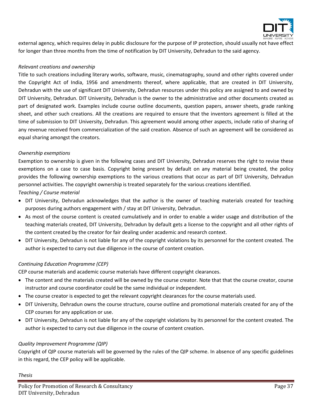

external agency, which requires delay in public disclosure for the purpose of IP protection, should usually not have effect for longer than three months from the time of notification by DIT University, Dehradun to the said agency.

### *Relevant creations and ownership*

Title to such creations including literary works, software, music, cinematography, sound and other rights covered under the Copyright Act of India, 1956 and amendments thereof, where applicable, that are created in DIT University, Dehradun with the use of significant DIT University, Dehradun resources under this policy are assigned to and owned by DIT University, Dehradun. DIT University, Dehradun is the owner to the administrative and other documents created as part of designated work. Examples include course outline documents, question papers, answer sheets, grade ranking sheet, and other such creations. All the creations are required to ensure that the inventors agreement is filled at the time of submission to DIT University, Dehradun. This agreement would among other aspects, include ratio of sharing of any revenue received from commercialization of the said creation. Absence of such an agreement will be considered as equal sharing amongst the creators.

#### *Ownership exemptions*

Exemption to ownership is given in the following cases and DIT University, Dehradun reserves the right to revise these exemptions on a case to case basis. Copyright being present by default on any material being created, the policy provides the following ownership exemptions to the various creations that occur as part of DIT University, Dehradun personnel activities. The copyright ownership is treated separately for the various creations identified.

*Teaching / Course material*

- DIT University, Dehradun acknowledges that the author is the owner of teaching materials created for teaching purposes during authors engagement with / stay at DIT University, Dehradun.
- As most of the course content is created cumulatively and in order to enable a wider usage and distribution of the teaching materials created, DIT University, Dehradun by default gets a license to the copyright and all other rights of the content created by the creator for fair dealing under academic and research context.
- DIT University, Dehradun is not liable for any of the copyright violations by its personnel for the content created. The author is expected to carry out due diligence in the course of content creation.

# *Continuing Education Programme (CEP)*

CEP course materials and academic course materials have different copyright clearances.

- The content and the materials created will be owned by the course creator. Note that that the course creator, course instructor and course coordinator could be the same individual or independent.
- The course creator is expected to get the relevant copyright clearances for the course materials used.
- DIT University, Dehradun owns the course structure, course outline and promotional materials created for any of the CEP courses for any application or use.
- DIT University, Dehradun is not liable for any of the copyright violations by its personnel for the content created. The author is expected to carry out due diligence in the course of content creation.

#### *Quality Improvement Programme (QIP)*

Copyright of QIP course materials will be governed by the rules of the QIP scheme. In absence of any specific guidelines in this regard, the CEP policy will be applicable.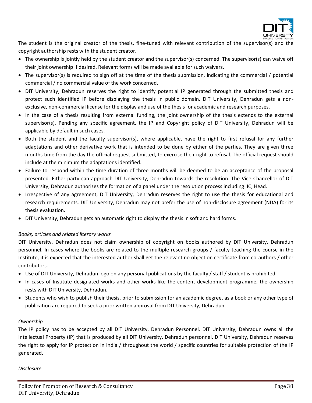

The student is the original creator of the thesis, fine-tuned with relevant contribution of the supervisor(s) and the copyright authorship rests with the student creator.

- The ownership is jointly held by the student creator and the supervisor(s) concerned. The supervisor(s) can waive off their joint ownership if desired. Relevant forms will be made available for such waivers.
- The supervisor(s) is required to sign off at the time of the thesis submission, indicating the commercial / potential commercial / no commercial value of the work concerned.
- DIT University, Dehradun reserves the right to identify potential IP generated through the submitted thesis and protect such identified IP before displaying the thesis in public domain. DIT University, Dehradun gets a nonexclusive, non-commercial license for the display and use of the thesis for academic and research purposes.
- In the case of a thesis resulting from external funding, the joint ownership of the thesis extends to the external supervisor(s). Pending any specific agreement, the IP and Copyright policy of DIT University, Dehradun will be applicable by default in such cases.
- Both the student and the faculty supervisor(s), where applicable, have the right to first refusal for any further adaptations and other derivative work that is intended to be done by either of the parties. They are given three months time from the day the official request submitted, to exercise their right to refusal. The official request should include at the minimum the adaptations identified.
- Failure to respond within the time duration of three months will be deemed to be an acceptance of the proposal presented. Either party can approach DIT University, Dehradun towards the resolution. The Vice Chancellor of DIT University, Dehradun authorizes the formation of a panel under the resolution process including IIC, Head.
- Irrespective of any agreement, DIT University, Dehradun reserves the right to use the thesis for educational and research requirements. DIT University, Dehradun may not prefer the use of non-disclosure agreement (NDA) for its thesis evaluation.
- DIT University, Dehradun gets an automatic right to display the thesis in soft and hard forms.

# *Books, articles and related literary works*

DIT University, Dehradun does not claim ownership of copyright on books authored by DIT University, Dehradun personnel. In cases where the books are related to the multiple research groups / faculty teaching the course in the Institute, it is expected that the interested author shall get the relevant no objection certificate from co-authors / other contributors.

- Use of DIT University, Dehradun logo on any personal publications by the faculty / staff / student is prohibited.
- In cases of Institute designated works and other works like the content development programme, the ownership rests with DIT University, Dehradun.
- Students who wish to publish their thesis, prior to submission for an academic degree, as a book or any other type of publication are required to seek a prior written approval from DIT University, Dehradun.

# *Ownership*

The IP policy has to be accepted by all DIT University, Dehradun Personnel. DIT University, Dehradun owns all the Intellectual Property (IP) that is produced by all DIT University, Dehradun personnel. DIT University, Dehradun reserves the right to apply for IP protection in India / throughout the world / specific countries for suitable protection of the IP generated.

# *Disclosure*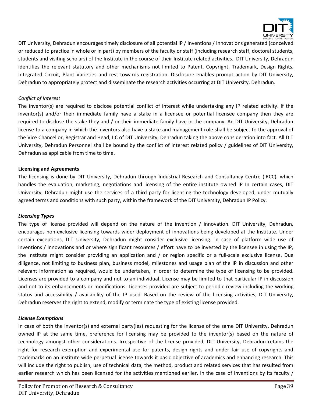

DIT University, Dehradun encourages timely disclosure of all potential IP / Inventions / Innovations generated (conceived or reduced to practice in whole or in part) by members of the faculty or staff (including research staff, doctoral students, students and visiting scholars) of the Institute in the course of their Institute related activities. DIT University, Dehradun identifies the relevant statutory and other mechanisms not limited to Patent, Copyright, Trademark, Design Rights, Integrated Circuit, Plant Varieties and rest towards registration. Disclosure enables prompt action by DIT University, Dehradun to appropriately protect and disseminate the research activities occurring at DIT University, Dehradun.

### *Conflict of Interest*

The inventor(s) are required to disclose potential conflict of interest while undertaking any IP related activity. If the inventor(s) and/or their immediate family have a stake in a licensee or potential licensee company then they are required to disclose the stake they and / or their immediate family have in the company. An DIT University, Dehradun license to a company in which the inventors also have a stake and management role shall be subject to the approval of the Vice Chancellor, Registrar and Head, IIC of DIT University, Dehradun taking the above consideration into fact. All DIT University, Dehradun Personnel shall be bound by the conflict of interest related policy / guidelines of DIT University, Dehradun as applicable from time to time.

#### **Licensing and Agreements**

The licensing is done by DIT University, Dehradun through Industrial Research and Consultancy Centre (IRCC), which handles the evaluation, marketing, negotiations and licensing of the entire institute owned IP In certain cases, DIT University, Dehradun might use the services of a third party for licensing the technology developed, under mutually agreed terms and conditions with such party, within the framework of the DIT University, Dehradun IP Policy.

#### *Licensing Types*

The type of license provided will depend on the nature of the invention / innovation. DIT University, Dehradun, encourages non-exclusive licensing towards wider deployment of innovations being developed at the Institute. Under certain exceptions, DIT University, Dehradun might consider exclusive licensing. In case of platform wide use of inventions / innovations and or where significant resources / effort have to be invested by the licensee in using the IP, the Institute might consider providing an application and / or region specific or a full-scale exclusive license. Due diligence, not limiting to business plan, business model, milestones and usage plan of the IP in discussion and other relevant information as required, would be undertaken, in order to determine the type of licensing to be provided. Licenses are provided to a company and not to an individual**.** License may be limited to that particular IP in discussion and not to its enhancements or modifications. Licenses provided are subject to periodic review including the working status and accessibility / availability of the IP used. Based on the review of the licensing activities, DIT University, Dehradun reserves the right to extend, modify or terminate the type of existing license provided.

#### *License Exemptions*

In case of both the inventor(s) and external party(ies) requesting for the license of the same DIT University, Dehradun owned IP at the same time, preference for licensing may be provided to the inventor(s) based on the nature of technology amongst other considerations. Irrespective of the license provided, DIT University, Dehradun retains the right for research exemption and experimental use for patents, design rights and under fair use of copyrights and trademarks on an institute wide perpetual license towards it basic objective of academics and enhancing research. This will include the right to publish, use of technical data, the method, product and related services that has resulted from earlier research which has been licensed for the activities mentioned earlier. In the case of inventions by its faculty /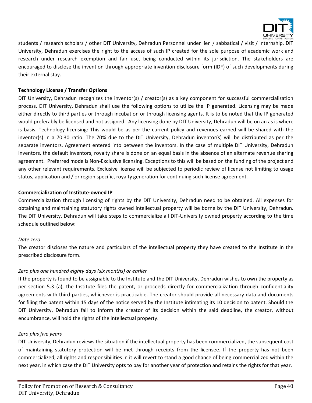

students / research scholars / other DIT University, Dehradun Personnel under lien / sabbatical / visit / internship, DIT University, Dehradun exercises the right to the access of such IP created for the sole purpose of academic work and research under research exemption and fair use, being conducted within its jurisdiction. The stakeholders are encouraged to disclose the invention through appropriate invention disclosure form (IDF) of such developments during their external stay.

# **Technology License / Transfer Options**

DIT University, Dehradun recognizes the inventor(s) / creator(s) as a key component for successful commercialization process. DIT University, Dehradun shall use the following options to utilize the IP generated. Licensing may be made either directly to third parties or through incubation or through licensing agents. It is to be noted that the IP generated would preferably be licensed and not assigned. Any licensing done by DIT University, Dehradun will be on an as is where is basis. Technology licensing: This would be as per the current policy and revenues earned will be shared with the inventor(s) in a 70:30 ratio. The 70% due to the DIT University, Dehradun inventor(s) will be distributed as per the separate inventors. Agreement entered into between the inventors. In the case of multiple DIT University, Dehradun inventors, the default inventors, royalty share is done on an equal basis in the absence of an alternate revenue sharing agreement. Preferred mode is Non-Exclusive licensing. Exceptions to this will be based on the funding of the project and any other relevant requirements. Exclusive license will be subjected to periodic review of license not limiting to usage status, application and / or region specific, royalty generation for continuing such license agreement.

# **Commercialization of Institute-owned IP**

Commercialization through licensing of rights by the DIT University, Dehradun need to be obtained. All expenses for obtaining and maintaining statutory rights owned intellectual property will be borne by the DIT University, Dehradun. The DIT University, Dehradun will take steps to commercialize all DIT-University owned property according to the time schedule outlined below:

# *Date zero*

The creator discloses the nature and particulars of the intellectual property they have created to the Institute in the prescribed disclosure form.

# *Zero plus one hundred eighty days (six months) or earlier*

If the property is found to be assignable to the Institute and the DIT University, Dehradun wishes to own the property as per section 5.3 (a), the Institute files the patent, or proceeds directly for commercialization through confidentiality agreements with third parties, whichever is practicable. The creator should provide all necessary data and documents for filing the patent within 15 days of the notice served by the Institute intimating its 10 decision to patent. Should the DIT University, Dehradun fail to inform the creator of its decision within the said deadline, the creator, without encumbrance, will hold the rights of the intellectual property.

# *Zero plus five years*

DIT University, Dehradun reviews the situation if the intellectual property has been commercialized, the subsequent cost of maintaining statutory protection will be met through receipts from the licensee. If the property has not been commercialized, all rights and responsibilities in it will revert to stand a good chance of being commercialized within the next year, in which case the DIT University opts to pay for another year of protection and retains the rights for that year.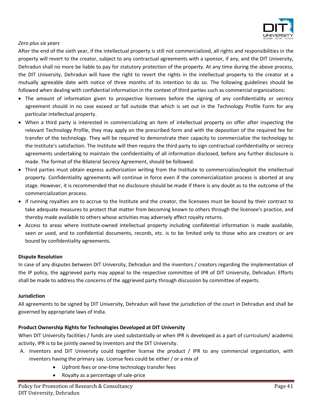

### *Zero plus six years*

After the end of the sixth year, if the intellectual property is still not commercialized, all rights and responsibilities in the property will revert to the creator, subject to any contractual agreements with a sponsor, if any, and the DIT University, Dehradun shall no more be liable to pay for statutory protection of the property. At any time during the above process, the DIT University, Dehradun will have the right to revert the rights in the intellectual property to the creator at a mutually agreeable date with notice of three months of its intention to do so. The following guidelines should be followed when dealing with confidential information in the context of third parties such as commercial organizations:

- The amount of information given to prospective licensees before the signing of any confidentiality or secrecy agreement should in no case exceed or fall outside that which is set out in the Technology Profile Form for any particular intellectual property.
- When a third party is interested in commercializing an item of intellectual property on offer after inspecting the relevant Technology Profile, they may apply on the prescribed form and with the deposition of the required fee for transfer of the technology. They will be required to demonstrate their capacity to commercialize the technology to the Institute's satisfaction. The Institute will then require the third party to sign contractual confidentiality or secrecy agreements undertaking to maintain the confidentiality of all information disclosed, before any further disclosure is made. The format of the Bilateral Secrecy Agreement, should be followed.
- Third parties must obtain express authorization writing from the Institute to commercialize/exploit the intellectual property. Confidentiality agreements will continue in force even if the commercialization process is aborted at any stage. However, it is recommended that no disclosure should be made if there is any doubt as to the outcome of the commercialization process.
- If running royalties are to accrue to the Institute and the creator, the licensees must be bound by their contract to take adequate measures to protect that matter from becoming known to others through the licensee's practice, and thereby made available to others whose activities may adversely affect royalty returns.
- Access to areas where Institute-owned intellectual property including confidential information is made available, seen or used, and to confidential documents, records, etc. is to be limited only to those who are creators or are bound by confidentiality agreements.

#### **Dispute Resolution**

In case of any disputes between DIT University, Dehradun and the inventors / creators regarding the implementation of the IP policy, the aggrieved party may appeal to the respective committee of IPR of DIT University, Dehradun. Efforts shall be made to address the concerns of the aggrieved party through discussion by committee of experts.

#### **Jurisdiction**

All agreements to be signed by DIT University, Dehradun will have the jurisdiction of the court in Dehradun and shall be governed by appropriate laws of India.

# **Product Ownership Rights for Technologies Developed at DIT University**

When DIT University facilities / funds are used substantially or when IPR is developed as a part of curriculum/ academic activity, IPR is to be jointly owned by inventors and the DIT University.

- A. Inventors and DIT University could together license the product / IPR to any commercial organization, with inventors having the primary say. License fees could be either / or a mix of
	- Upfront fees or one-time technology transfer fees
	- Royalty as a percentage of sale-price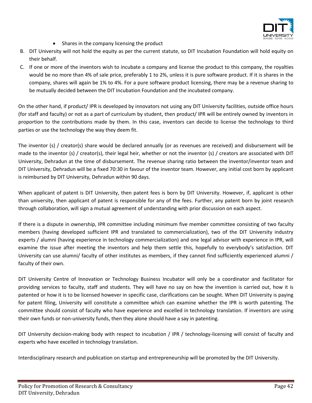

- Shares in the company licensing the product
- B. DIT University will not hold the equity as per the current statute, so DIT Incubation Foundation will hold equity on their behalf.
- C. If one or more of the inventors wish to incubate a company and license the product to this company, the royalties would be no more than 4% of sale price, preferably 1 to 2%, unless it is pure software product. If it is shares in the company, shares will again be 1% to 4%. For a pure software product licensing, there may be a revenue sharing to be mutually decided between the DIT Incubation Foundation and the incubated company.

On the other hand, if product/ IPR is developed by innovators not using any DIT University facilities, outside office hours (for staff and faculty) or not as a part of curriculum by student, then product/ IPR will be entirely owned by inventors in proportion to the contributions made by them. In this case, inventors can decide to license the technology to third parties or use the technology the way they deem fit.

The inventor (s) / creator(s) share would be declared annually (or as revenues are received) and disbursement will be made to the inventor (s) / creator(s), their legal heir, whether or not the inventor (s) / creators are associated with DIT University, Dehradun at the time of disbursement. The revenue sharing ratio between the inventor/inventor team and DIT University, Dehradun will be a fixed 70:30 in favour of the inventor team. However, any initial cost born by applicant is reimbursed by DIT University, Dehradun within 90 days.

When applicant of patent is DIT University, then patent fees is born by DIT University. However, if, applicant is other than university, then applicant of patent is responsible for any of the fees. Further, any patent born by joint research through collaboration, will sign a mutual agreement of understanding with prior discussion on each aspect.

If there is a dispute in ownership, IPR committee including minimum five member committee consisting of two faculty members (having developed sufficient IPR and translated to commercialization), two of the DIT University industry experts / alumni (having experience in technology commercialization) and one legal advisor with experience in IPR, will examine the issue after meeting the inventors and help them settle this, hopefully to everybody's satisfaction. DIT University can use alumni/ faculty of other institutes as members, if they cannot find sufficiently experienced alumni / faculty of their own.

DIT University Centre of Innovation or Technology Business Incubator will only be a coordinator and facilitator for providing services to faculty, staff and students. They will have no say on how the invention is carried out, how it is patented or how it is to be licensed however in specific case, clarifications can be sought. When DIT University is paying for patent filing, University will constitute a committee which can examine whether the IPR is worth patenting. The committee should consist of faculty who have experience and excelled in technology translation. If inventors are using their own funds or non-university funds, then they alone should have a say in patenting.

DIT University decision-making body with respect to incubation / IPR / technology-licensing will consist of faculty and experts who have excelled in technology translation.

Interdisciplinary research and publication on startup and entrepreneurship will be promoted by the DIT University.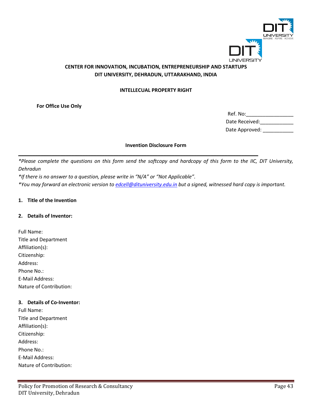

# **CENTER FOR INNOVATION, INCUBATION, ENTREPRENEURSHIP AND STARTUPS DIT UNIVERSITY, DEHRADUN, UTTARAKHAND, INDIA**

#### **INTELLECUAL PROPERTY RIGHT**

**For Office Use Only**

| Ref. No:       |  |
|----------------|--|
| Date Received: |  |
| Date Approved: |  |

#### **Invention Disclosure Form**

*\*Please complete the questions on this form send the softcopy and hardcopy of this form to the IIC, DIT University, Dehradun*

*\*If there is no answer to a question, please write in "N/A" or "Not Applicable". \*You may forward an electronic version t[o edcell@dituniversity.edu.in](mailto:edcell@dituniversity.edu.in) but a signed, witnessed hard copy is important.* 

\_\_\_\_\_\_\_\_\_\_\_\_\_\_\_\_\_\_\_\_\_\_\_\_\_\_\_\_\_\_\_\_\_\_\_\_\_\_\_\_\_\_\_\_\_\_\_\_\_\_\_\_\_\_\_\_\_\_\_\_\_\_\_\_\_\_\_\_\_\_\_\_\_\_\_\_\_\_\_\_\_\_\_\_\_\_

#### **1. Title of the Invention**

#### **2. Details of Inventor:**

| Full Name:                     |  |  |  |
|--------------------------------|--|--|--|
| <b>Title and Department</b>    |  |  |  |
| Affiliation(s):                |  |  |  |
| Citizenship:                   |  |  |  |
| Address:                       |  |  |  |
| Phone No.:                     |  |  |  |
| <b>F-Mail Address:</b>         |  |  |  |
| <b>Nature of Contribution:</b> |  |  |  |

#### **3. Details of Co-Inventor:**

Full Name: Title and Department Affiliation(s): Citizenship: Address: Phone No.: E-Mail Address: Nature of Contribution: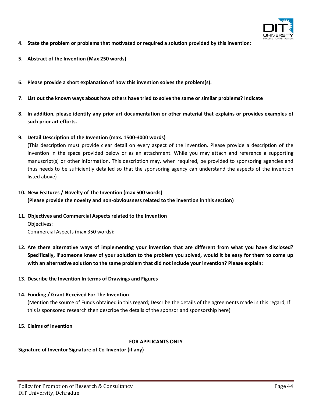

- **4. State the problem or problems that motivated or required a solution provided by this invention:**
- **5. Abstract of the Invention (Max 250 words)**
- **6. Please provide a short explanation of how this invention solves the problem(s).**
- **7. List out the known ways about how others have tried to solve the same or similar problems? Indicate**
- **8. In addition, please identify any prior art documentation or other material that explains or provides examples of such prior art efforts.**
- **9. Detail Description of the Invention (max. 1500-3000 words)**

(This description must provide clear detail on every aspect of the invention. Please provide a description of the invention in the space provided below or as an attachment. While you may attach and reference a supporting manuscript(s) or other information, This description may, when required, be provided to sponsoring agencies and thus needs to be sufficiently detailed so that the sponsoring agency can understand the aspects of the invention listed above)

**10. New Features / Novelty of The Invention (max 500 words)**

**(Please provide the novelty and non-obviousness related to the invention in this section)**

**11. Objectives and Commercial Aspects related to the Invention**

Objectives: Commercial Aspects (max 350 words):

- **12. Are there alternative ways of implementing your invention that are different from what you have disclosed? Specifically, if someone knew of your solution to the problem you solved, would it be easy for them to come up with an alternative solution to the same problem that did not include your invention? Please explain:**
- **13. Describe the Invention In terms of Drawings and Figures**
- **14. Funding / Grant Received For The Invention**

(Mention the source of Funds obtained in this regard; Describe the details of the agreements made in this regard; If this is sponsored research then describe the details of the sponsor and sponsorship here)

**15. Claims of Invention**

#### **FOR APPLICANTS ONLY**

**Signature of Inventor Signature of Co-Inventor (if any)**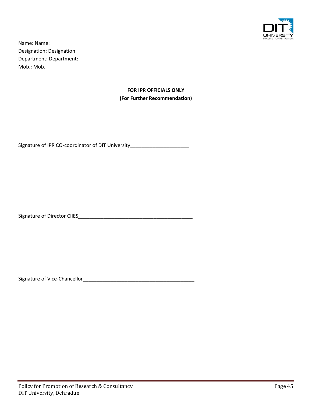

Name: Name: Designation: Designation Department: Department: Mob.: Mob.

> **FOR IPR OFFICIALS ONLY (For Further Recommendation)**

Signature of IPR CO-coordinator of DIT University\_\_\_\_\_\_\_\_\_\_\_\_\_\_\_\_\_\_\_\_\_\_\_\_\_\_\_\_\_\_\_

Signature of Director CIIES\_\_\_\_\_\_\_\_\_\_\_\_\_\_\_\_\_\_\_\_\_\_\_\_\_\_\_\_\_\_\_\_\_\_\_\_\_\_\_\_\_

Signature of Vice-Chancellor\_\_\_\_\_\_\_\_\_\_\_\_\_\_\_\_\_\_\_\_\_\_\_\_\_\_\_\_\_\_\_\_\_\_\_\_\_\_\_\_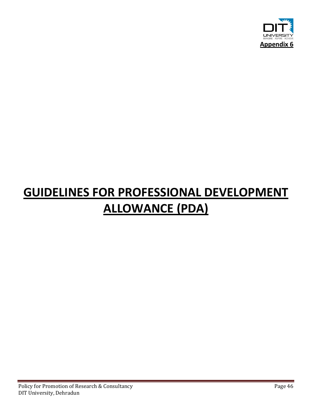

# **GUIDELINES FOR PROFESSIONAL DEVELOPMENT ALLOWANCE (PDA)**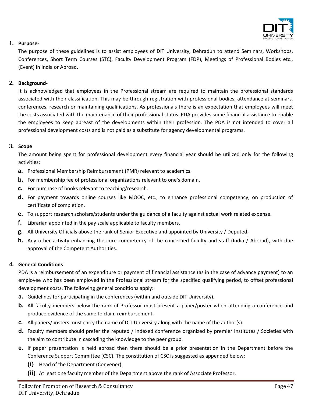

# **1. Purpose-**

The purpose of these guidelines is to assist employees of DIT University, Dehradun to attend Seminars, Workshops, Conferences, Short Term Courses (STC), Faculty Development Program (FDP), Meetings of Professional Bodies etc., (Event) in India or Abroad.

# **2. Background-**

It is acknowledged that employees in the Professional stream are required to maintain the professional standards associated with their classification. This may be through registration with professional bodies, attendance at seminars, conferences, research or maintaining qualifications. As professionals there is an expectation that employees will meet the costs associated with the maintenance of their professional status. PDA provides some financial assistance to enable the employees to keep abreast of the developments within their profession. The PDA is not intended to cover all professional development costs and is not paid as a substitute for agency developmental programs.

# **3. Scope**

The amount being spent for professional development every financial year should be utilized only for the following activities:

- **a.** Professional Membership Reimbursement (PMR) relevant to academics.
- **b.** For membership fee of professional organizations relevant to one's domain.
- **c.** For purchase of books relevant to teaching/research.
- **d.** For payment towards online courses like MOOC, etc., to enhance professional competency, on production of certificate of completion.
- **e.** To support research scholars/students under the guidance of a faculty against actual work related expense.
- **f.** Librarian appointed in the pay scale applicable to faculty members.
- **g.** All University Officials above the rank of Senior Executive and appointed by University / Deputed.
- **h.** Any other activity enhancing the core competency of the concerned faculty and staff (India / Abroad), with due approval of the Competent Authorities.

# **4. General Conditions**

PDA is a reimbursement of an expenditure or payment of financial assistance (as in the case of advance payment) to an employee who has been employed in the Professional stream for the specified qualifying period, to offset professional development costs. The following general conditions apply:

- **a.** Guidelines for participating in the conferences (within and outside DIT University).
- **b.** All faculty members below the rank of Professor must present a paper/poster when attending a conference and produce evidence of the same to claim reimbursement.
- **c.** All papers/posters must carry the name of DIT University along with the name of the author(s).
- **d.** Faculty members should prefer the reputed / indexed conference organized by premier Institutes / Societies with the aim to contribute in cascading the knowledge to the peer group.
- **e.** If paper presentation is held abroad then there should be a prior presentation in the Department before the Conference Support Committee (CSC). The constitution of CSC is suggested as appended below:
	- **(i)** Head of the Department (Convener).
	- **(ii)** At least one faculty member of the Department above the rank of Associate Professor.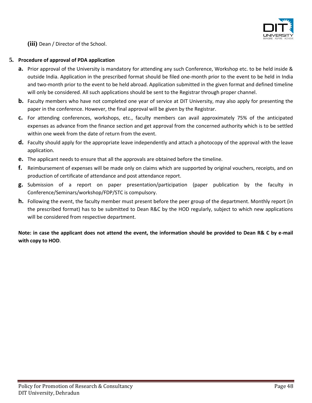

**(iii)** Dean / Director of the School.

#### **5. Procedure of approval of PDA application**

- **a.** Prior approval of the University is mandatory for attending any such Conference, Workshop etc. to be held inside & outside India. Application in the prescribed format should be filed one-month prior to the event to be held in India and two-month prior to the event to be held abroad. Application submitted in the given format and defined timeline will only be considered. All such applications should be sent to the Registrar through proper channel.
- **b.** Faculty members who have not completed one year of service at DIT University, may also apply for presenting the paper in the conference. However, the final approval will be given by the Registrar.
- **c.** For attending conferences, workshops, etc., faculty members can avail approximately 75% of the anticipated expenses as advance from the finance section and get approval from the concerned authority which is to be settled within one week from the date of return from the event.
- **d.** Faculty should apply for the appropriate leave independently and attach a photocopy of the approval with the leave application.
- **e.** The applicant needs to ensure that all the approvals are obtained before the timeline.
- **f.** Reimbursement of expenses will be made only on claims which are supported by original vouchers, receipts, and on production of certificate of attendance and post attendance report.
- **g.** Submission of a report on paper presentation/participation (paper publication by the faculty in Conference/Seminars/workshop/FDP/STC is compulsory.
- **h.** Following the event, the faculty member must present before the peer group of the department. Monthly report (in the prescribed format) has to be submitted to Dean R&C by the HOD regularly, subject to which new applications will be considered from respective department.

**Note: in case the applicant does not attend the event, the information should be provided to Dean R& C by e-mail with copy to HOD**.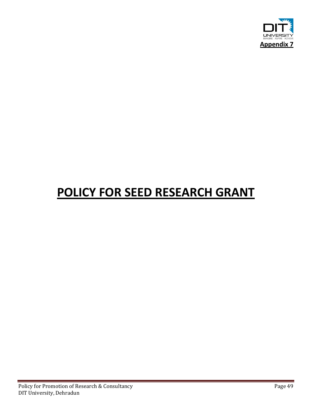

# **POLICY FOR SEED RESEARCH GRANT**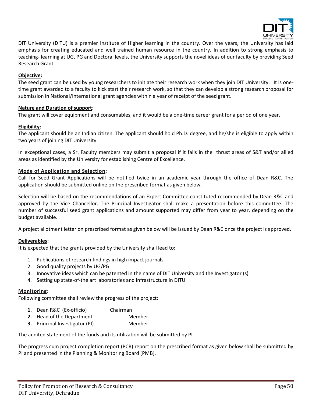

DIT University (DITU) is a premier Institute of Higher learning in the country. Over the years, the University has laid emphasis for creating educated and well trained human resource in the country. In addition to strong emphasis to teaching- learning at UG, PG and Doctoral levels, the University supports the novel ideas of our faculty by providing Seed Research Grant.

### **Objective:**

The seed grant can be used by young researchers to initiate their research work when they join DIT University. It is onetime grant awarded to a faculty to kick start their research work, so that they can develop a strong research proposal for submission in National/International grant agencies within a year of receipt of the seed grant.

#### **Nature and Duration of support:**

The grant will cover equipment and consumables, and it would be a one-time career grant for a period of one year.

#### **Eligibility:**

The applicant should be an Indian citizen. The applicant should hold Ph.D. degree, and he/she is eligible to apply within two years of joining DIT University.

In exceptional cases, a Sr. Faculty members may submit a proposal if it falls in the thrust areas of S&T and/or allied areas as identified by the University for establishing Centre of Excellence.

#### **Mode of Application and Selection:**

Call for Seed Grant Applications will be notified twice in an academic year through the office of Dean R&C. The application should be submitted online on the prescribed format as given below.

Selection will be based on the recommendations of an Expert Committee constituted recommended by Dean R&C and approved by the Vice Chancellor. The Principal Investigator shall make a presentation before this committee. The number of successful seed grant applications and amount supported may differ from year to year, depending on the budget available.

A project allotment letter on prescribed format as given below will be issued by Dean R&C once the project is approved.

# **Deliverables:**

It is expected that the grants provided by the University shall lead to:

- 1. Publications of research findings in high impact journals
- 2. Good quality projects by UG/PG
- 3. Innovative ideas which can be patented in the name of DIT University and the Investigator (s)
- 4. Setting up state-of-the art laboratories and infrastructure in DITU

#### **Monitoring:**

Following committee shall review the progress of the project:

- **1.** Dean R&C (Ex-officio) Chairman
- **2.** Head of the Department Member
- **3.** Principal Investigator (PI) Member

The audited statement of the funds and its utilization will be submitted by PI.

The progress cum project completion report (PCR) report on the prescribed format as given below shall be submitted by PI and presented in the Planning & Monitoring Board [PMB].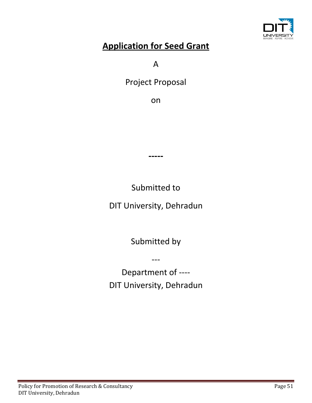

# **Application for Seed Grant**

A

Project Proposal

on

Submitted to

**-----**

DIT University, Dehradun

Submitted by

---

Department of ---- DIT University, Dehradun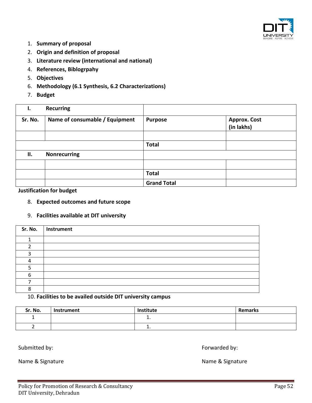

- 1. **Summary of proposal**
- 2. **Origin and definition of proposal**
- 3. **Literature review (international and national)**
- 4. **References, Biblogrpahy**
- 5. **Objectives**
- 6. **Methodology (6.1 Synthesis, 6.2 Characterizations)**
- 7. **Budget**

| ь.      | <b>Recurring</b>               |                    |                                   |
|---------|--------------------------------|--------------------|-----------------------------------|
| Sr. No. | Name of consumable / Equipment | <b>Purpose</b>     | <b>Approx. Cost</b><br>(in lakhs) |
|         |                                |                    |                                   |
|         |                                | <b>Total</b>       |                                   |
| П.      | <b>Nonrecurring</b>            |                    |                                   |
|         |                                |                    |                                   |
|         |                                | <b>Total</b>       |                                   |
|         |                                | <b>Grand Total</b> |                                   |

**Justification for budget** 

8. **Expected outcomes and future scope** 

# 9. **Facilities available at DIT university**

| Sr. No. | Instrument |
|---------|------------|
|         |            |
|         |            |
|         |            |
|         |            |
|         |            |
|         |            |
|         |            |
|         |            |

# 10. **Facilities to be availed outside DIT university campus**

| Sr. No. | Instrument | Institute | <b>Remarks</b> |
|---------|------------|-----------|----------------|
|         |            | - 1       |                |
|         |            | . .       |                |

Submitted by: Submitted by: The state of the state of the state of the state of the state of the state of the state of the state of the state of the state of the state of the state of the state of the state of the state of

Name & Signature Name & Signature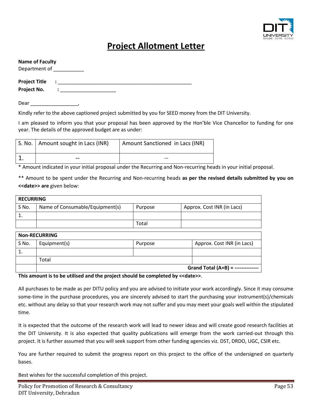

# **Project Allotment Letter**

| <b>Name of Faculty</b>              |                      |  |
|-------------------------------------|----------------------|--|
| Department of                       |                      |  |
| <b>Project Title</b><br>Project No. | $\ddot{\phantom{a}}$ |  |

Dear

Kindly refer to the above captioned project submitted by you for SEED money from the DIT University.

I am pleased to inform you that your proposal has been approved by the Hon'ble Vice Chancellor to funding for one year. The details of the approved budget are as under:

| S. No.   Amount sought in Lacs (INR) | Amount Sanctioned in Lacs (INR) |
|--------------------------------------|---------------------------------|
| --                                   | --                              |

\* Amount indicated in your initial proposal under the Recurring and Non-recurring heads in your initial proposal.

\*\* Amount to be spent under the Recurring and Non-recurring heads **as per the revised details submitted by you on <<date>> are** given below:

| <b>RECURRING</b> |                                 |         |  |                            |  |  |
|------------------|---------------------------------|---------|--|----------------------------|--|--|
| S No.            | Name of Consumable/Equipment(s) | Purpose |  | Approx. Cost INR (in Lacs) |  |  |
| 1.               |                                 |         |  |                            |  |  |
|                  |                                 | Total   |  |                            |  |  |
|                  |                                 |         |  |                            |  |  |
|                  | <b>Non-RECURRING</b>            |         |  |                            |  |  |
| S No.            | Equipment(s)                    | Purpose |  | Approx. Cost INR (in Lacs) |  |  |
| 1.               |                                 |         |  |                            |  |  |
|                  | Total                           |         |  |                            |  |  |
|                  |                                 |         |  | Grand Total $(A+B)$ =      |  |  |

**This amount is to be utilised and the project should be completed by <<date>>**.

All purchases to be made as per DITU policy and you are advised to initiate your work accordingly. Since it may consume some-time in the purchase procedures, you are sincerely advised to start the purchasing your instrument(s)/chemicals etc. without any delay so that your research work may not suffer and you may meet your goals well within the stipulated time.

It is expected that the outcome of the research work will lead to newer ideas and will create good research facilities at the DIT University. It is also expected that quality publications will emerge from the work carried-out through this project. It is further assumed that you will seek support from other funding agencies viz. DST, DRDO, UGC, CSIR etc.

You are further required to submit the progress report on this project to the office of the undersigned on quarterly bases.

Best wishes for the successful completion of this project.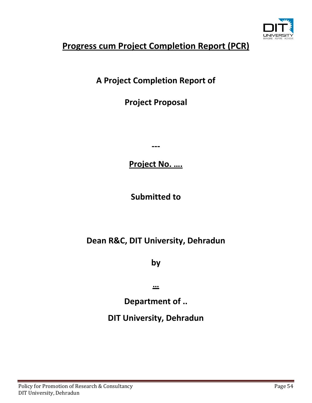

# **Progress cum Project Completion Report (PCR)**

**A Project Completion Report of**

**Project Proposal** 

**---**

**Project No. ….**

**Submitted to**

**Dean R&C, DIT University, Dehradun**

**by** 

**…**

**Department of ..**

**DIT University, Dehradun**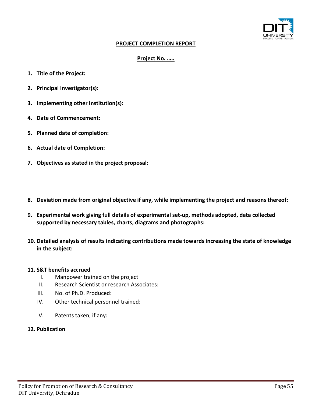

# **PROJECT COMPLETION REPORT**

# **Project No. …..**

- **1. Title of the Project:**
- **2. Principal Investigator(s):**
- **3. Implementing other Institution(s):**
- **4. Date of Commencement:**
- **5. Planned date of completion:**
- **6. Actual date of Completion:**
- **7. Objectives as stated in the project proposal:**
- **8. Deviation made from original objective if any, while implementing the project and reasons thereof:**
- **9. Experimental work giving full details of experimental set-up, methods adopted, data collected supported by necessary tables, charts, diagrams and photographs:**
- **10. Detailed analysis of results indicating contributions made towards increasing the state of knowledge in the subject:**

### **11. S&T benefits accrued**

- I. Manpower trained on the project
- II. Research Scientist or research Associates:
- III. No. of Ph.D. Produced:
- IV. Other technical personnel trained:
- V. Patents taken, if any:

# **12. Publication**